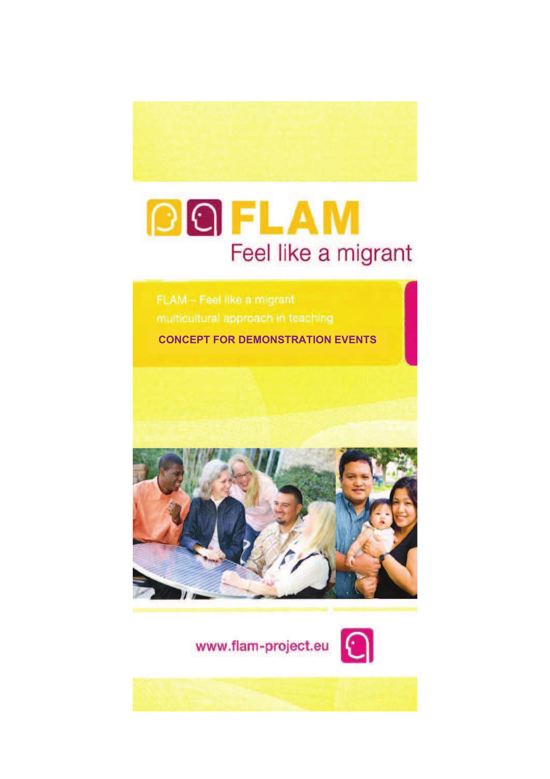

# **DOFLAM** Feel like a migrant

# **CONCEPT FOR DEMONSTRATION EVENTS**





www.flam-project.eu

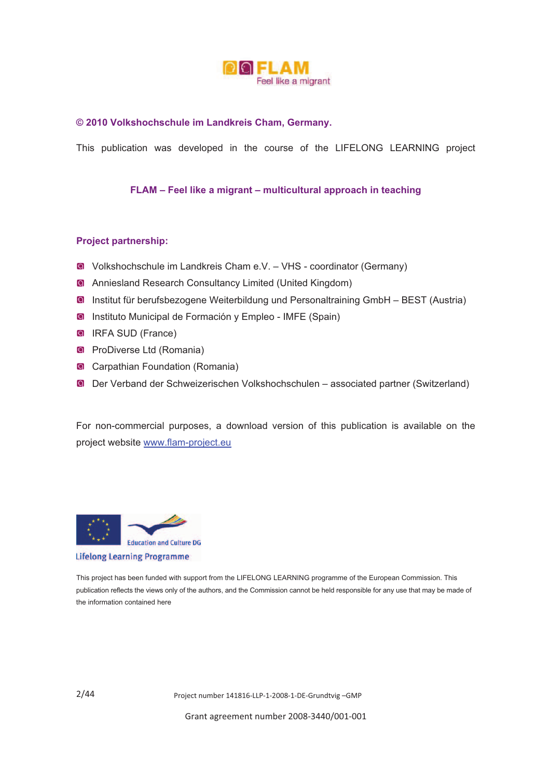

# **© 2010 Volkshochschule im Landkreis Cham, Germany.**

This publication was developed in the course of the LIFELONG LEARNING project

#### **FLAM – Feel like a migrant – multicultural approach in teaching**

#### **Project partnership:**

- Volkshochschule im Landkreis Cham e.V. VHS coordinator (Germany)
- Anniesland Research Consultancy Limited (United Kingdom)
- Institut für berufsbezogene Weiterbildung und Personaltraining GmbH BEST (Austria)
- **a** Instituto Municipal de Formación y Empleo IMFE (Spain)
- **Q** IRFA SUD (France)
- **Q** ProDiverse Ltd (Romania)
- **Carpathian Foundation (Romania)**
- Der Verband der Schweizerischen Volkshochschulen associated partner (Switzerland)

For non-commercial purposes, a download version of this publication is available on the project website www.flam-project.eu



This project has been funded with support from the LIFELONG LEARNING programme of the European Commission. This publication reflects the views only of the authors, and the Commission cannot be held responsible for any use that may be made of the information contained here

Project number 141816-LLP-1-2008-1-DE-Grundtvig -GMP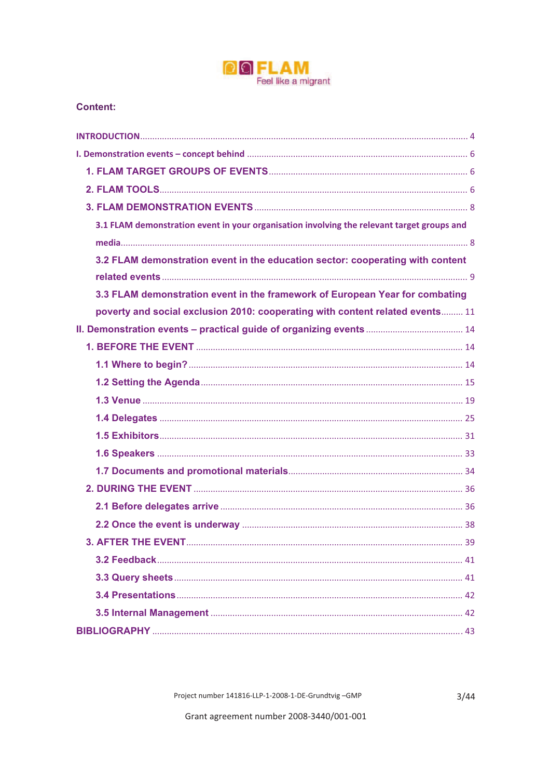

# **Content:**

| 3.1 FLAM demonstration event in your organisation involving the relevant target groups and |
|--------------------------------------------------------------------------------------------|
|                                                                                            |
| 3.2 FLAM demonstration event in the education sector: cooperating with content             |
|                                                                                            |
| 3.3 FLAM demonstration event in the framework of European Year for combating               |
| poverty and social exclusion 2010: cooperating with content related events 11              |
|                                                                                            |
|                                                                                            |
|                                                                                            |
|                                                                                            |
|                                                                                            |
|                                                                                            |
|                                                                                            |
|                                                                                            |
|                                                                                            |
|                                                                                            |
|                                                                                            |
|                                                                                            |
|                                                                                            |
|                                                                                            |
|                                                                                            |
|                                                                                            |
|                                                                                            |
|                                                                                            |

 $3/44$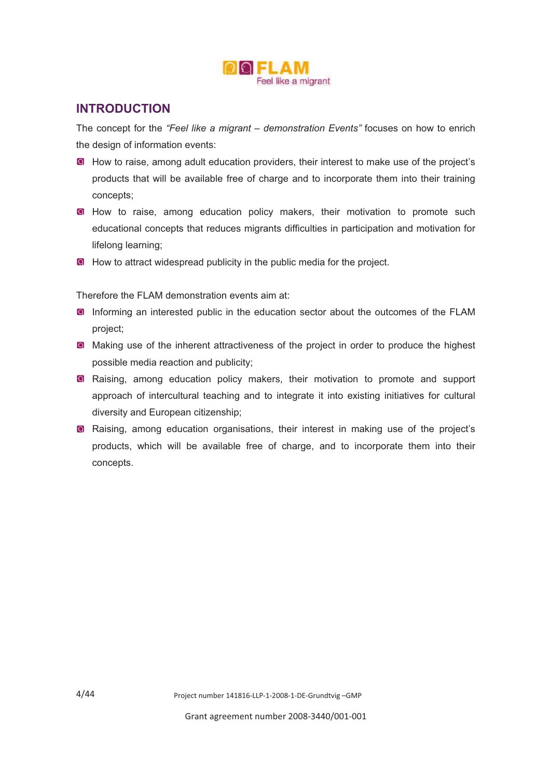

# **INTRODUCTION**

The concept for the *"Feel like a migrant – demonstration Events"* focuses on how to enrich the design of information events:

- **A** How to raise, among adult education providers, their interest to make use of the project's products that will be available free of charge and to incorporate them into their training concepts;
- **A** How to raise, among education policy makers, their motivation to promote such educational concepts that reduces migrants difficulties in participation and motivation for lifelong learning;
- **E** How to attract widespread publicity in the public media for the project.

Therefore the FLAM demonstration events aim at:

- **Informing an interested public in the education sector about the outcomes of the FLAM** project;
- **Making use of the inherent attractiveness of the project in order to produce the highest** possible media reaction and publicity;
- **a** Raising, among education policy makers, their motivation to promote and support approach of intercultural teaching and to integrate it into existing initiatives for cultural diversity and European citizenship;
- **a** Raising, among education organisations, their interest in making use of the project's products, which will be available free of charge, and to incorporate them into their concepts.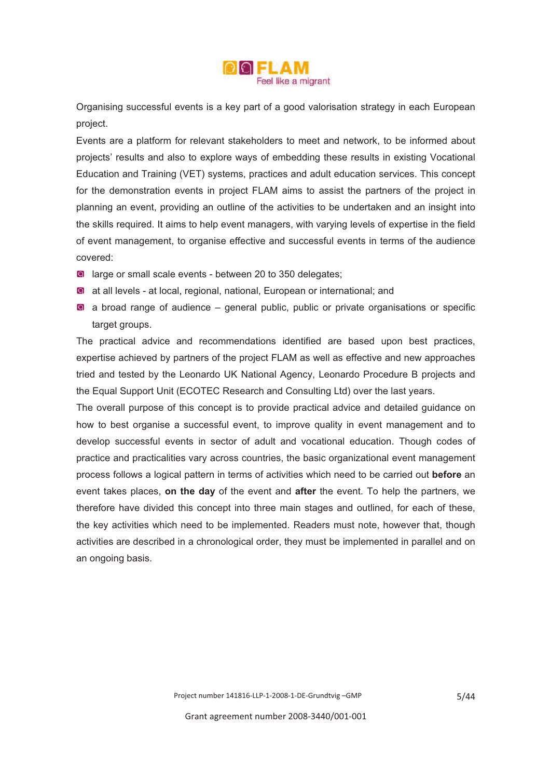

Organising successful events is a key part of a good valorisation strategy in each European project.

Events are a platform for relevant stakeholders to meet and network, to be informed about projects' results and also to explore ways of embedding these results in existing Vocational Education and Training (VET) systems, practices and adult education services. This concept for the demonstration events in project FLAM aims to assist the partners of the project in planning an event, providing an outline of the activities to be undertaken and an insight into the skills required. It aims to help event managers, with varying levels of expertise in the field of event management, to organise effective and successful events in terms of the audience covered:

- **a** large or small scale events between 20 to 350 delegates;
- at all levels at local, regional, national, European or international; and
- a broad range of audience general public, public or private organisations or specific target groups.

The practical advice and recommendations identified are based upon best practices, expertise achieved by partners of the project FLAM as well as effective and new approaches tried and tested by the Leonardo UK National Agency, Leonardo Procedure B projects and the Equal Support Unit (ECOTEC Research and Consulting Ltd) over the last years.

The overall purpose of this concept is to provide practical advice and detailed guidance on how to best organise a successful event, to improve quality in event management and to develop successful events in sector of adult and vocational education. Though codes of practice and practicalities vary across countries, the basic organizational event management process follows a logical pattern in terms of activities which need to be carried out **before** an event takes places, **on the day** of the event and **after** the event. To help the partners, we therefore have divided this concept into three main stages and outlined, for each of these, the key activities which need to be implemented. Readers must note, however that, though activities are described in a chronological order, they must be implemented in parallel and on an ongoing basis.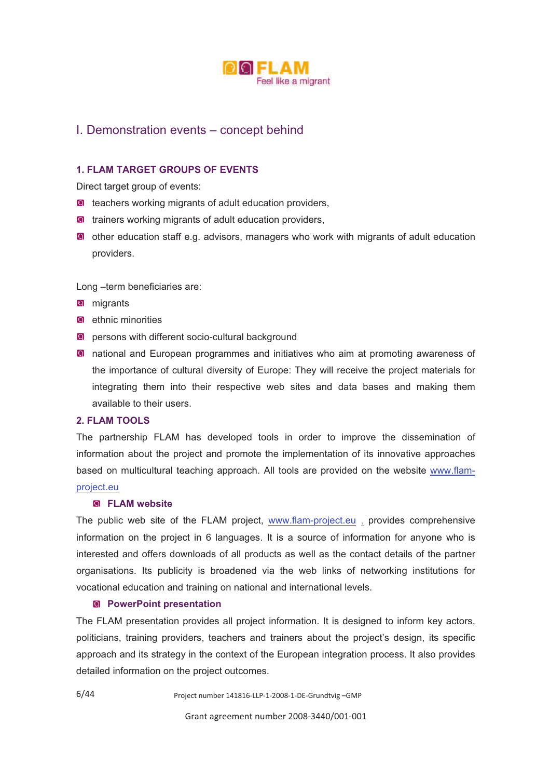

# I. Demonstration events – concept behind

# **1. FLAM TARGET GROUPS OF EVENTS**

Direct target group of events:

- **a** teachers working migrants of adult education providers,
- **q** trainers working migrants of adult education providers,
- **a** other education staff e.g. advisors, managers who work with migrants of adult education providers.

Long –term beneficiaries are:

- migrants
- **Q** ethnic minorities
- **Q** persons with different socio-cultural background
- **a** national and European programmes and initiatives who aim at promoting awareness of the importance of cultural diversity of Europe: They will receive the project materials for integrating them into their respective web sites and data bases and making them available to their users.

# **2. FLAM TOOLS**

6/44

The partnership FLAM has developed tools in order to improve the dissemination of information about the project and promote the implementation of its innovative approaches based on multicultural teaching approach. All tools are provided on the website www.flamproject.eu

# **FLAM website**

The public web site of the FLAM project, www.flam-project.eu , provides comprehensive information on the project in 6 languages. It is a source of information for anyone who is interested and offers downloads of all products as well as the contact details of the partner organisations. Its publicity is broadened via the web links of networking institutions for vocational education and training on national and international levels.

# **PowerPoint presentation**

The FLAM presentation provides all project information. It is designed to inform key actors, politicians, training providers, teachers and trainers about the project's design, its specific approach and its strategy in the context of the European integration process. It also provides detailed information on the project outcomes.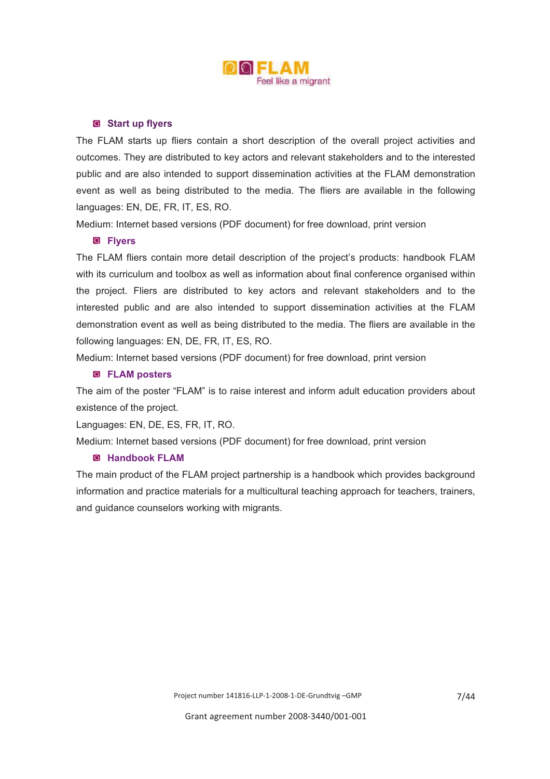

#### **Start up flyers**

The FLAM starts up fliers contain a short description of the overall project activities and outcomes. They are distributed to key actors and relevant stakeholders and to the interested public and are also intended to support dissemination activities at the FLAM demonstration event as well as being distributed to the media. The fliers are available in the following languages: EN, DE, FR, IT, ES, RO.

Medium: Internet based versions (PDF document) for free download, print version

#### **Flyers**

The FLAM fliers contain more detail description of the project's products: handbook FLAM with its curriculum and toolbox as well as information about final conference organised within the project. Fliers are distributed to key actors and relevant stakeholders and to the interested public and are also intended to support dissemination activities at the FLAM demonstration event as well as being distributed to the media. The fliers are available in the following languages: EN, DE, FR, IT, ES, RO.

Medium: Internet based versions (PDF document) for free download, print version

#### **FLAM posters**

The aim of the poster "FLAM" is to raise interest and inform adult education providers about existence of the project.

Languages: EN, DE, ES, FR, IT, RO.

Medium: Internet based versions (PDF document) for free download, print version

# **Handbook FLAM**

The main product of the FLAM project partnership is a handbook which provides background information and practice materials for a multicultural teaching approach for teachers, trainers, and guidance counselors working with migrants.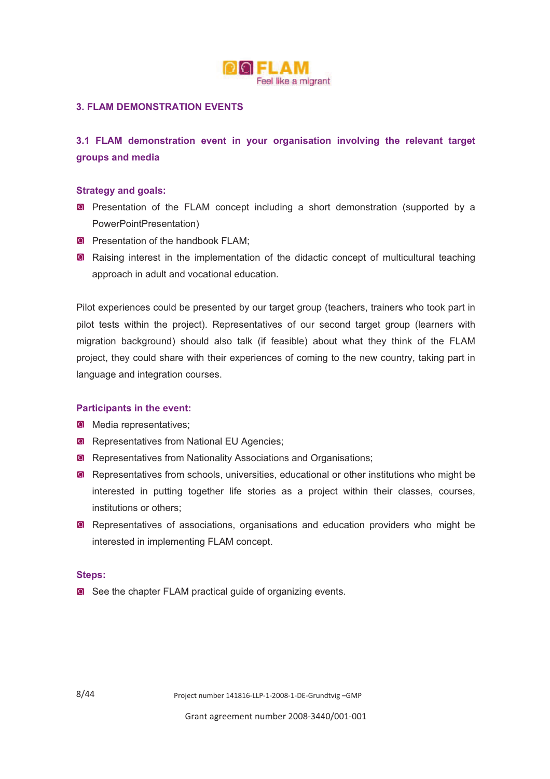

# **3. FLAM DEMONSTRATION EVENTS**

# **3.1 FLAM demonstration event in your organisation involving the relevant target groups and media**

#### **Strategy and goals:**

- **Presentation of the FLAM concept including a short demonstration (supported by a** PowerPointPresentation)
- **Presentation of the handbook FLAM;**
- **Raising interest in the implementation of the didactic concept of multicultural teaching** approach in adult and vocational education.

Pilot experiences could be presented by our target group (teachers, trainers who took part in pilot tests within the project). Representatives of our second target group (learners with migration background) should also talk (if feasible) about what they think of the FLAM project, they could share with their experiences of coming to the new country, taking part in language and integration courses.

#### **Participants in the event:**

- **Media representatives;**
- **Representatives from National EU Agencies;**
- **Representatives from Nationality Associations and Organisations;**
- **Representatives from schools, universities, educational or other institutions who might be** interested in putting together life stories as a project within their classes, courses, institutions or others;
- **Representatives of associations, organisations and education providers who might be** interested in implementing FLAM concept.

#### **Steps:**

**a** See the chapter FLAM practical guide of organizing events.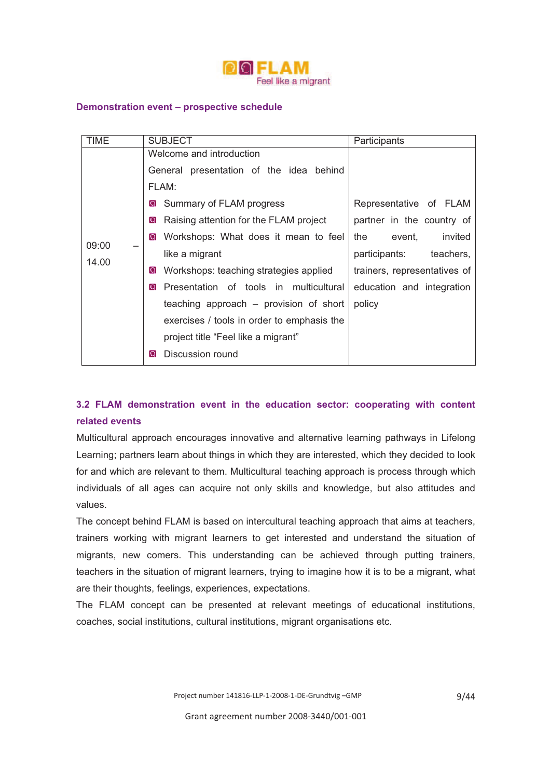

#### **Demonstration event – prospective schedule**

| <b>TIME</b>    | <b>SUBJECT</b>                              | Participants                 |
|----------------|---------------------------------------------|------------------------------|
| 09:00<br>14.00 | Welcome and introduction                    |                              |
|                | General presentation of the idea behind     |                              |
|                | FLAM:                                       |                              |
|                | Summary of FLAM progress<br>Q               | Representative of FLAM       |
|                | Raising attention for the FLAM project<br>Q | partner in the country of    |
|                | Workshops: What does it mean to feel<br>ସ   | invited<br>event.<br>the     |
|                | like a migrant                              | participants:<br>teachers,   |
|                | Workshops: teaching strategies applied<br>Q | trainers, representatives of |
|                | Q<br>Presentation of tools in multicultural | education and integration    |
|                | teaching approach – provision of short      | policy                       |
|                | exercises / tools in order to emphasis the  |                              |
|                | project title "Feel like a migrant"         |                              |
|                | Discussion round<br>ାପ                      |                              |

# **3.2 FLAM demonstration event in the education sector: cooperating with content related events**

Multicultural approach encourages innovative and alternative learning pathways in Lifelong Learning; partners learn about things in which they are interested, which they decided to look for and which are relevant to them. Multicultural teaching approach is process through which individuals of all ages can acquire not only skills and knowledge, but also attitudes and values.

The concept behind FLAM is based on intercultural teaching approach that aims at teachers, trainers working with migrant learners to get interested and understand the situation of migrants, new comers. This understanding can be achieved through putting trainers, teachers in the situation of migrant learners, trying to imagine how it is to be a migrant, what are their thoughts, feelings, experiences, expectations.

The FLAM concept can be presented at relevant meetings of educational institutions, coaches, social institutions, cultural institutions, migrant organisations etc.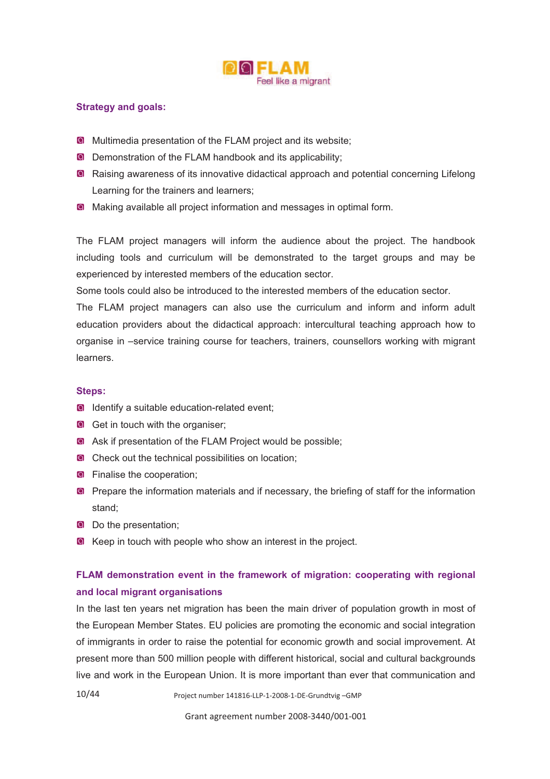

# **Strategy and goals:**

- **Multimedia presentation of the FLAM project and its website:**
- **O** Demonstration of the FLAM handbook and its applicability;
- **a** Raising awareness of its innovative didactical approach and potential concerning Lifelong Learning for the trainers and learners;
- **a** Making available all project information and messages in optimal form.

The FLAM project managers will inform the audience about the project. The handbook including tools and curriculum will be demonstrated to the target groups and may be experienced by interested members of the education sector.

Some tools could also be introduced to the interested members of the education sector.

The FLAM project managers can also use the curriculum and inform and inform adult education providers about the didactical approach: intercultural teaching approach how to organise in –service training course for teachers, trainers, counsellors working with migrant learners.

#### **Steps:**

- **I** Identify a suitable education-related event;
- Get in touch with the organiser;
- **Ask if presentation of the FLAM Project would be possible;**
- **Q** Check out the technical possibilities on location;
- **O** Finalise the cooperation;
- **I** Prepare the information materials and if necessary, the briefing of staff for the information stand;
- **O** Do the presentation;
- **E** Keep in touch with people who show an interest in the project.

# **FLAM demonstration event in the framework of migration: cooperating with regional and local migrant organisations**

In the last ten years net migration has been the main driver of population growth in most of the European Member States. EU policies are promoting the economic and social integration of immigrants in order to raise the potential for economic growth and social improvement. At present more than 500 million people with different historical, social and cultural backgrounds live and work in the European Union. It is more important than ever that communication and

Project number 141816-LLP-1-2008-1-DE-Grundtvig -GMP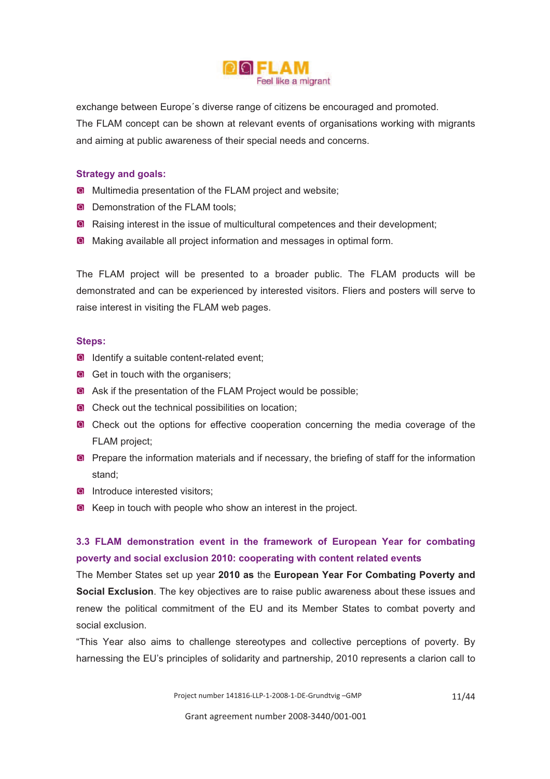

exchange between Europe´s diverse range of citizens be encouraged and promoted.

The FLAM concept can be shown at relevant events of organisations working with migrants and aiming at public awareness of their special needs and concerns.

# **Strategy and goals:**

- **Multimedia presentation of the FLAM project and website;**
- **Demonstration of the FLAM tools;**
- **a** Raising interest in the issue of multicultural competences and their development;
- **Making available all project information and messages in optimal form.**

The FLAM project will be presented to a broader public. The FLAM products will be demonstrated and can be experienced by interested visitors. Fliers and posters will serve to raise interest in visiting the FLAM web pages.

#### **Steps:**

- **I** Identify a suitable content-related event;
- Get in touch with the organisers;
- **Ask if the presentation of the FLAM Project would be possible;**
- **Q** Check out the technical possibilities on location;
- **a** Check out the options for effective cooperation concerning the media coverage of the FLAM project;
- **Prepare the information materials and if necessary, the briefing of staff for the information** stand;
- **Introduce interested visitors:**
- Reep in touch with people who show an interest in the project.

# **3.3 FLAM demonstration event in the framework of European Year for combating poverty and social exclusion 2010: cooperating with content related events**

The Member States set up year **2010 as** the **European Year For Combating Poverty and Social Exclusion**. The key objectives are to raise public awareness about these issues and renew the political commitment of the EU and its Member States to combat poverty and social exclusion.

"This Year also aims to challenge stereotypes and collective perceptions of poverty. By harnessing the EU's principles of solidarity and partnership, 2010 represents a clarion call to

Project number 141816-LLP-1-2008-1-DE-Grundtvig -GMP

11/44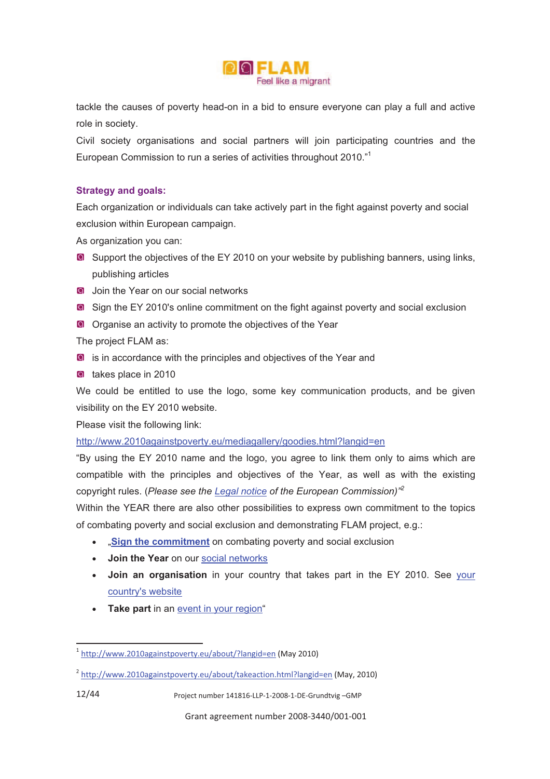

tackle the causes of poverty head-on in a bid to ensure everyone can play a full and active role in society.

Civil society organisations and social partners will join participating countries and the European Commission to run a series of activities throughout 2010."<sup>1</sup>

# **Strategy and goals:**

Each organization or individuals can take actively part in the fight against poverty and social exclusion within European campaign.

As organization you can:

- **O** Support the objectives of the EY 2010 on your website by publishing banners, using links, publishing articles
- **O** Join the Year on our social networks
- **a** Sign the EY 2010's online commitment on the fight against poverty and social exclusion
- **O** Organise an activity to promote the objectives of the Year

The project FLAM as:

- **a** is in accordance with the principles and objectives of the Year and
- **Q** takes place in 2010

We could be entitled to use the logo, some key communication products, and be given visibility on the EY 2010 website.

Please visit the following link:

!!!!!!!!!!!!!!!!!!!!!!!!!!!!!!!!!!!!!!!!!!!!!!!!!!!!!!!!!!!

http://www.2010againstpoverty.eu/mediagallery/goodies.html?langid=en

"By using the EY 2010 name and the logo, you agree to link them only to aims which are compatible with the principles and objectives of the Year, as well as with the existing copyright rules. (*Please see the Legal notice of the European Commission)"<sup>2</sup>*

Within the YEAR there are also other possibilities to express own commitment to the topics of combating poverty and social exclusion and demonstrating FLAM project, e.g.:

- **.** Sign the commitment on combating poverty and social exclusion
- ! **Join the Year** on our social networks
- ! **Join an organisation** in your country that takes part in the EY 2010. See your country's website
- Take part in an event in your region"

<sup>&</sup>lt;sup>1</sup> http://www.2010againstpoverty.eu/about/?langid=en (May 2010)

<sup>&</sup>lt;sup>2</sup> http://www.2010againstpoverty.eu/about/takeaction.html?langid=en (May, 2010)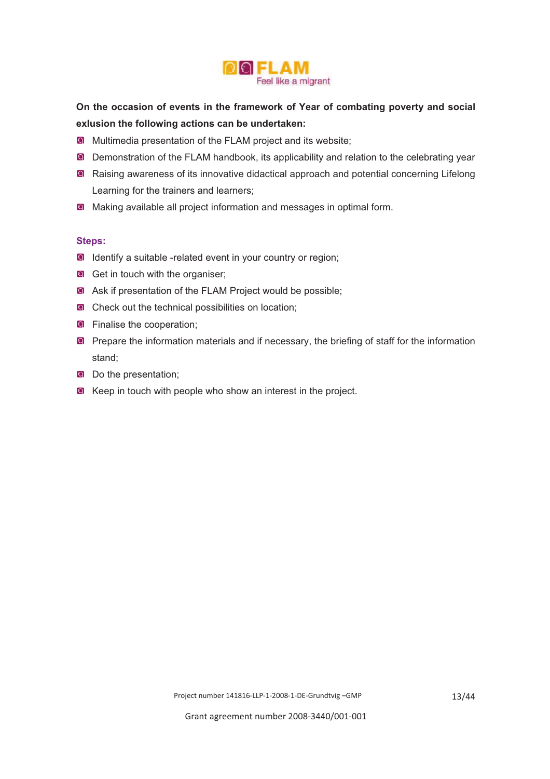

**On the occasion of events in the framework of Year of combating poverty and social exlusion the following actions can be undertaken:** 

- **Multimedia presentation of the FLAM project and its website;**
- **Demonstration of the FLAM handbook, its applicability and relation to the celebrating year**
- **a** Raising awareness of its innovative didactical approach and potential concerning Lifelong Learning for the trainers and learners;
- **a** Making available all project information and messages in optimal form.

#### **Steps:**

- **I** Identify a suitable -related event in your country or region;
- G Get in touch with the organiser;
- **Ask if presentation of the FLAM Project would be possible;**
- **a** Check out the technical possibilities on location;
- **Q** Finalise the cooperation:
- **a** Prepare the information materials and if necessary, the briefing of staff for the information stand;
- Do the presentation;
- Reep in touch with people who show an interest in the project.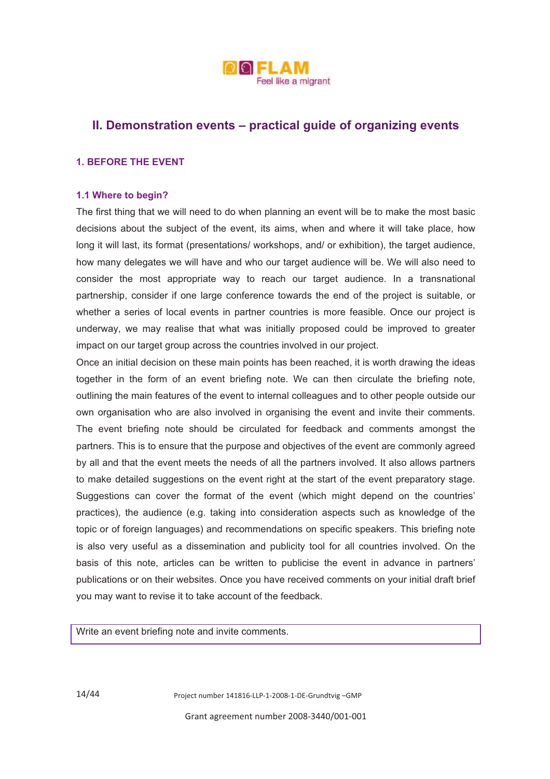

# **II. Demonstration events – practical guide of organizing events**

# **1. BEFORE THE EVENT**

#### **1.1 Where to begin?**

The first thing that we will need to do when planning an event will be to make the most basic decisions about the subject of the event, its aims, when and where it will take place, how long it will last, its format (presentations/ workshops, and/ or exhibition), the target audience, how many delegates we will have and who our target audience will be. We will also need to consider the most appropriate way to reach our target audience. In a transnational partnership, consider if one large conference towards the end of the project is suitable, or whether a series of local events in partner countries is more feasible. Once our project is underway, we may realise that what was initially proposed could be improved to greater impact on our target group across the countries involved in our project.

Once an initial decision on these main points has been reached, it is worth drawing the ideas together in the form of an event briefing note. We can then circulate the briefing note, outlining the main features of the event to internal colleagues and to other people outside our own organisation who are also involved in organising the event and invite their comments. The event briefing note should be circulated for feedback and comments amongst the partners. This is to ensure that the purpose and objectives of the event are commonly agreed by all and that the event meets the needs of all the partners involved. It also allows partners to make detailed suggestions on the event right at the start of the event preparatory stage. Suggestions can cover the format of the event (which might depend on the countries' practices), the audience (e.g. taking into consideration aspects such as knowledge of the topic or of foreign languages) and recommendations on specific speakers. This briefing note is also very useful as a dissemination and publicity tool for all countries involved. On the basis of this note, articles can be written to publicise the event in advance in partners' publications or on their websites. Once you have received comments on your initial draft brief you may want to revise it to take account of the feedback.

Write an event briefing note and invite comments.

Project number 141816-LLP-1-2008-1-DE-Grundtvig -GMP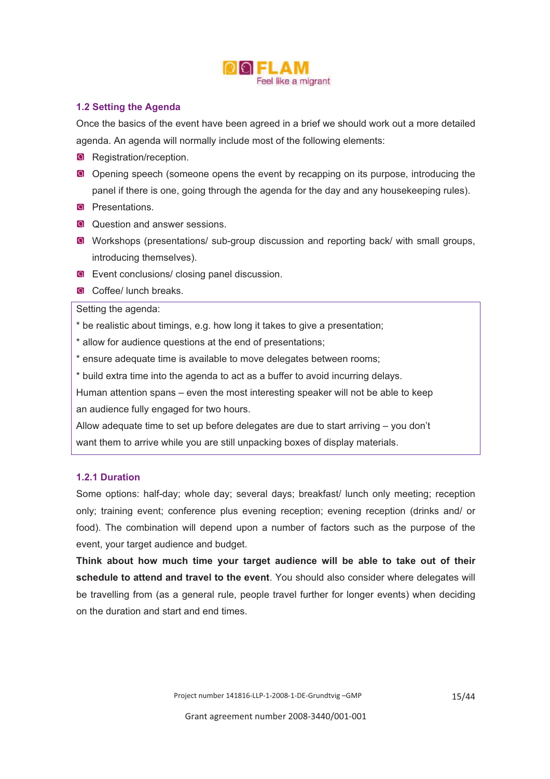

# **1.2 Setting the Agenda**

Once the basics of the event have been agreed in a brief we should work out a more detailed agenda. An agenda will normally include most of the following elements:

- **Registration/reception.**
- Opening speech (someone opens the event by recapping on its purpose, introducing the panel if there is one, going through the agenda for the day and any housekeeping rules).
- **Q** Presentations.
- **Q** Question and answer sessions.
- Workshops (presentations/ sub-group discussion and reporting back/ with small groups, introducing themselves).
- **Exent conclusions/ closing panel discussion.**
- **Q** Coffee/ lunch breaks

# Setting the agenda:

\* be realistic about timings, e.g. how long it takes to give a presentation;

- \* allow for audience questions at the end of presentations;
- \* ensure adequate time is available to move delegates between rooms;
- \* build extra time into the agenda to act as a buffer to avoid incurring delays.

Human attention spans – even the most interesting speaker will not be able to keep an audience fully engaged for two hours.

Allow adequate time to set up before delegates are due to start arriving – you don't want them to arrive while you are still unpacking boxes of display materials.

# **1.2.1 Duration**

Some options: half-day; whole day; several days; breakfast/ lunch only meeting; reception only; training event; conference plus evening reception; evening reception (drinks and/ or food). The combination will depend upon a number of factors such as the purpose of the event, your target audience and budget.

**Think about how much time your target audience will be able to take out of their schedule to attend and travel to the event**. You should also consider where delegates will be travelling from (as a general rule, people travel further for longer events) when deciding on the duration and start and end times.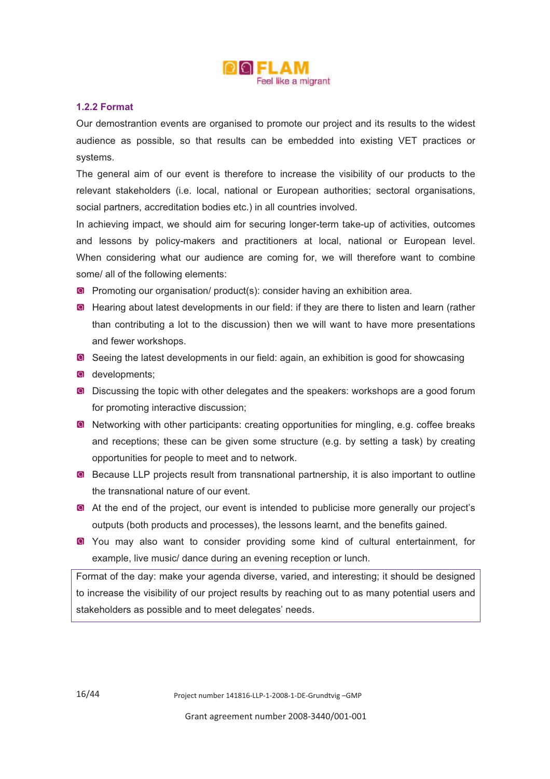

# **1.2.2 Format**

Our demostrantion events are organised to promote our project and its results to the widest audience as possible, so that results can be embedded into existing VET practices or systems.

The general aim of our event is therefore to increase the visibility of our products to the relevant stakeholders (i.e. local, national or European authorities; sectoral organisations, social partners, accreditation bodies etc.) in all countries involved.

In achieving impact, we should aim for securing longer-term take-up of activities, outcomes and lessons by policy-makers and practitioners at local, national or European level. When considering what our audience are coming for, we will therefore want to combine some/ all of the following elements:

- Promoting our organisation/ product(s): consider having an exhibition area.
- **E** Hearing about latest developments in our field: if they are there to listen and learn (rather than contributing a lot to the discussion) then we will want to have more presentations and fewer workshops.
- **a** Seeing the latest developments in our field: again, an exhibition is good for showcasing
- **a** developments;
- **E** Discussing the topic with other delegates and the speakers: workshops are a good forum for promoting interactive discussion;
- **a** Networking with other participants: creating opportunities for mingling, e.g. coffee breaks and receptions; these can be given some structure (e.g. by setting a task) by creating opportunities for people to meet and to network.
- **B** Because LLP projects result from transnational partnership, it is also important to outline the transnational nature of our event.
- At the end of the project, our event is intended to publicise more generally our project's outputs (both products and processes), the lessons learnt, and the benefits gained.
- You may also want to consider providing some kind of cultural entertainment, for example, live music/ dance during an evening reception or lunch.

Format of the day: make your agenda diverse, varied, and interesting; it should be designed to increase the visibility of our project results by reaching out to as many potential users and stakeholders as possible and to meet delegates' needs.

Project number 141816-LLP-1-2008-1-DE-Grundtvig -GMP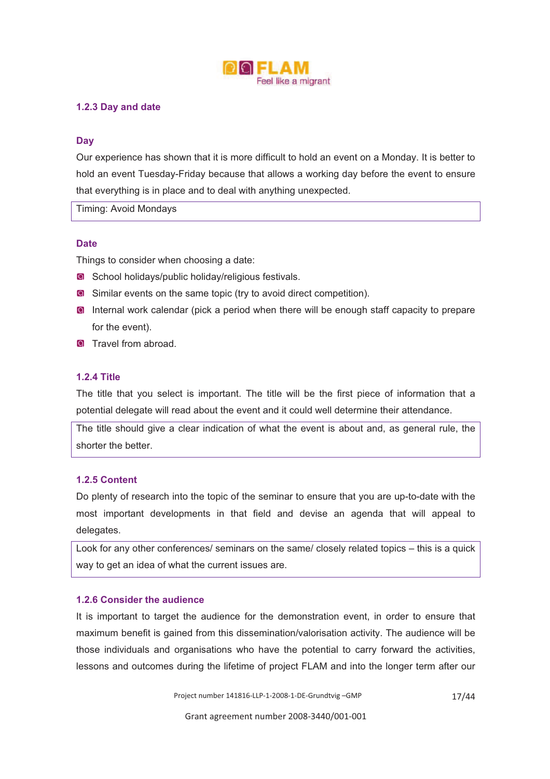

# **1.2.3 Day and date**

# **Day**

Our experience has shown that it is more difficult to hold an event on a Monday. It is better to hold an event Tuesday-Friday because that allows a working day before the event to ensure that everything is in place and to deal with anything unexpected.

Timing: Avoid Mondays

#### **Date**

Things to consider when choosing a date:

- **a** School holidays/public holiday/religious festivals.
- **a** Similar events on the same topic (try to avoid direct competition).
- **Internal work calendar (pick a period when there will be enough staff capacity to prepare** for the event).
- **Q** Travel from abroad

# **1.2.4 Title**

The title that you select is important. The title will be the first piece of information that a potential delegate will read about the event and it could well determine their attendance.

The title should give a clear indication of what the event is about and, as general rule, the shorter the better.

# **1.2.5 Content**

Do plenty of research into the topic of the seminar to ensure that you are up-to-date with the most important developments in that field and devise an agenda that will appeal to delegates.

Look for any other conferences/ seminars on the same/ closely related topics – this is a quick way to get an idea of what the current issues are.

# **1.2.6 Consider the audience**

It is important to target the audience for the demonstration event, in order to ensure that maximum benefit is gained from this dissemination/valorisation activity. The audience will be those individuals and organisations who have the potential to carry forward the activities, lessons and outcomes during the lifetime of project FLAM and into the longer term after our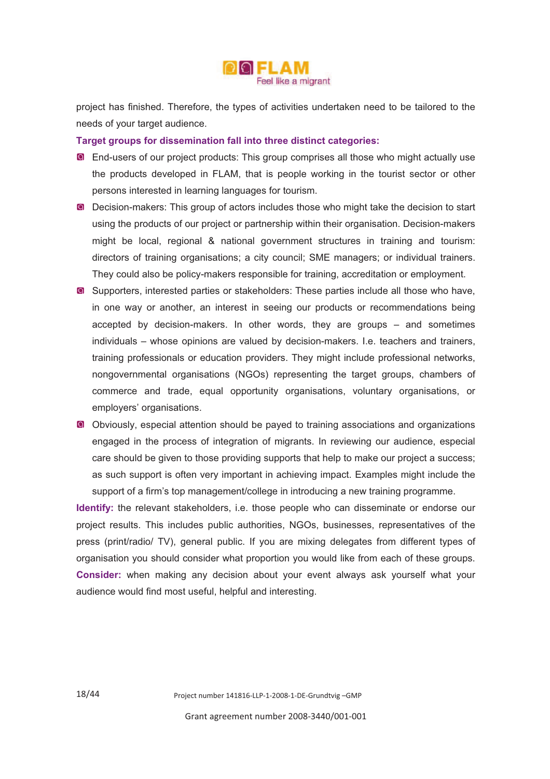

project has finished. Therefore, the types of activities undertaken need to be tailored to the needs of your target audience.

#### **Target groups for dissemination fall into three distinct categories:**

- End-users of our project products: This group comprises all those who might actually use the products developed in FLAM, that is people working in the tourist sector or other persons interested in learning languages for tourism.
- **O** Decision-makers: This group of actors includes those who might take the decision to start using the products of our project or partnership within their organisation. Decision-makers might be local, regional & national government structures in training and tourism: directors of training organisations; a city council; SME managers; or individual trainers. They could also be policy-makers responsible for training, accreditation or employment.
- Supporters, interested parties or stakeholders: These parties include all those who have, in one way or another, an interest in seeing our products or recommendations being accepted by decision-makers. In other words, they are groups – and sometimes individuals – whose opinions are valued by decision-makers. I.e. teachers and trainers, training professionals or education providers. They might include professional networks, nongovernmental organisations (NGOs) representing the target groups, chambers of commerce and trade, equal opportunity organisations, voluntary organisations, or employers' organisations.
- **O** Obviously, especial attention should be payed to training associations and organizations engaged in the process of integration of migrants. In reviewing our audience, especial care should be given to those providing supports that help to make our project a success; as such support is often very important in achieving impact. Examples might include the support of a firm's top management/college in introducing a new training programme.

**Identify:** the relevant stakeholders, i.e. those people who can disseminate or endorse our project results. This includes public authorities, NGOs, businesses, representatives of the press (print/radio/ TV), general public. If you are mixing delegates from different types of organisation you should consider what proportion you would like from each of these groups. **Consider:** when making any decision about your event always ask yourself what your audience would find most useful, helpful and interesting.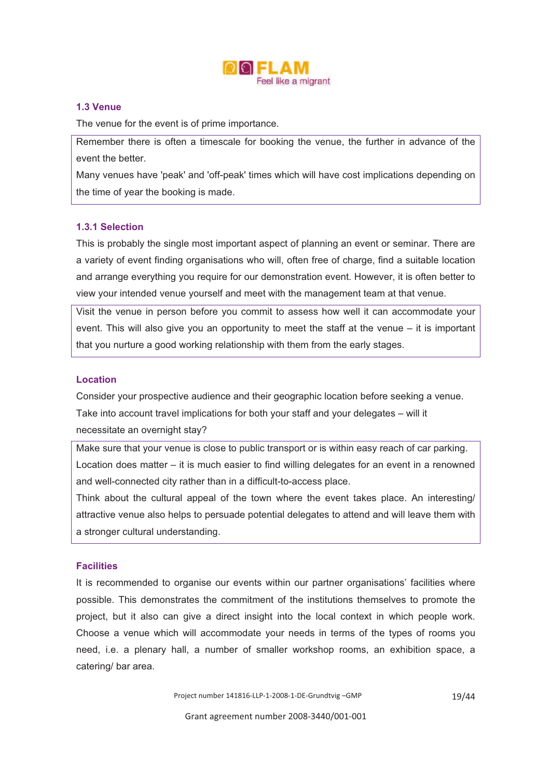

# **1.3 Venue**

The venue for the event is of prime importance.

Remember there is often a timescale for booking the venue, the further in advance of the event the better.

Many venues have 'peak' and 'off-peak' times which will have cost implications depending on the time of year the booking is made.

# **1.3.1 Selection**

This is probably the single most important aspect of planning an event or seminar. There are a variety of event finding organisations who will, often free of charge, find a suitable location and arrange everything you require for our demonstration event. However, it is often better to view your intended venue yourself and meet with the management team at that venue.

Visit the venue in person before you commit to assess how well it can accommodate your event. This will also give you an opportunity to meet the staff at the venue – it is important that you nurture a good working relationship with them from the early stages.

# **Location**

Consider your prospective audience and their geographic location before seeking a venue. Take into account travel implications for both your staff and your delegates – will it necessitate an overnight stay?

Make sure that your venue is close to public transport or is within easy reach of car parking. Location does matter  $-$  it is much easier to find willing delegates for an event in a renowned and well-connected city rather than in a difficult-to-access place.

Think about the cultural appeal of the town where the event takes place. An interesting/ attractive venue also helps to persuade potential delegates to attend and will leave them with a stronger cultural understanding.

# **Facilities**

It is recommended to organise our events within our partner organisations' facilities where possible. This demonstrates the commitment of the institutions themselves to promote the project, but it also can give a direct insight into the local context in which people work. Choose a venue which will accommodate your needs in terms of the types of rooms you need, i.e. a plenary hall, a number of smaller workshop rooms, an exhibition space, a catering/ bar area.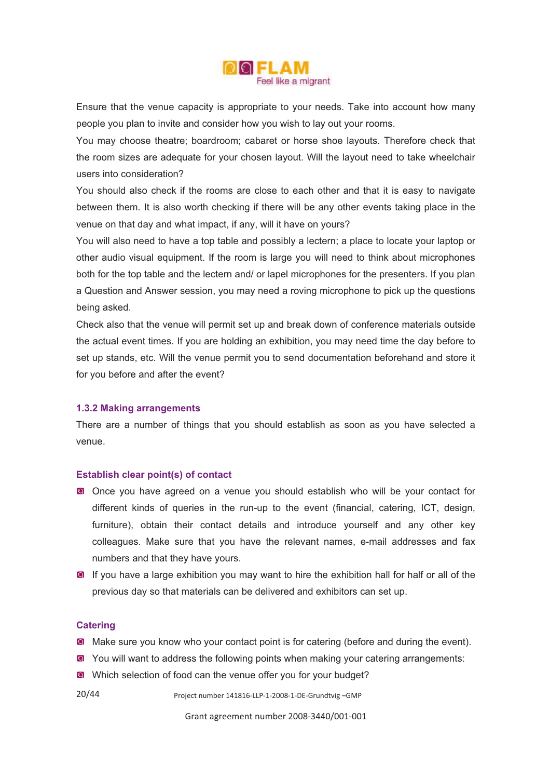

Ensure that the venue capacity is appropriate to your needs. Take into account how many people you plan to invite and consider how you wish to lay out your rooms.

You may choose theatre; boardroom; cabaret or horse shoe layouts. Therefore check that the room sizes are adequate for your chosen layout. Will the layout need to take wheelchair users into consideration?

You should also check if the rooms are close to each other and that it is easy to navigate between them. It is also worth checking if there will be any other events taking place in the venue on that day and what impact, if any, will it have on yours?

You will also need to have a top table and possibly a lectern; a place to locate your laptop or other audio visual equipment. If the room is large you will need to think about microphones both for the top table and the lectern and/ or lapel microphones for the presenters. If you plan a Question and Answer session, you may need a roving microphone to pick up the questions being asked.

Check also that the venue will permit set up and break down of conference materials outside the actual event times. If you are holding an exhibition, you may need time the day before to set up stands, etc. Will the venue permit you to send documentation beforehand and store it for you before and after the event?

#### **1.3.2 Making arrangements**

There are a number of things that you should establish as soon as you have selected a venue.

#### **Establish clear point(s) of contact**

- Once you have agreed on a venue you should establish who will be your contact for different kinds of queries in the run-up to the event (financial, catering, ICT, design, furniture), obtain their contact details and introduce yourself and any other key colleagues. Make sure that you have the relevant names, e-mail addresses and fax numbers and that they have yours.
- If you have a large exhibition you may want to hire the exhibition hall for half or all of the previous day so that materials can be delivered and exhibitors can set up.

#### **Catering**

- **Make sure you know who your contact point is for catering (before and during the event).**
- **E** You will want to address the following points when making your catering arrangements:
- **E** Which selection of food can the venue offer you for your budget?
- 20/44

Project number 141816-LLP-1-2008-1-DE-Grundtvig –GMP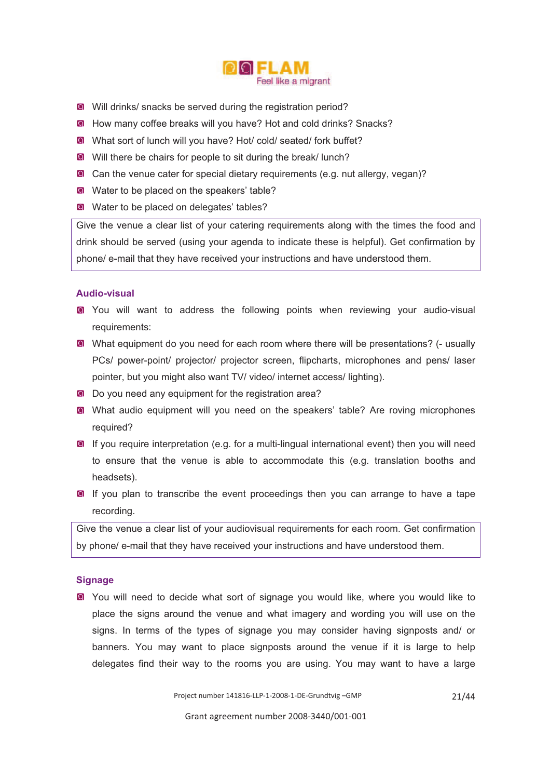

- **a** Will drinks/ snacks be served during the registration period?
- **A** How many coffee breaks will you have? Hot and cold drinks? Snacks?
- What sort of lunch will you have? Hot/ cold/ seated/ fork buffet?
- **O** Will there be chairs for people to sit during the break/ lunch?
- Can the venue cater for special dietary requirements (e.g. nut allergy, vegan)?
- **a** Water to be placed on the speakers' table?
- **a** Water to be placed on delegates' tables?

Give the venue a clear list of your catering requirements along with the times the food and drink should be served (using your agenda to indicate these is helpful). Get confirmation by phone/ e-mail that they have received your instructions and have understood them.

#### **Audio-visual**

- **I** You will want to address the following points when reviewing your audio-visual requirements:
- **a** What equipment do you need for each room where there will be presentations? (- usually PCs/ power-point/ projector/ projector screen, flipcharts, microphones and pens/ laser pointer, but you might also want TV/ video/ internet access/ lighting).
- **a** Do you need any equipment for the registration area?
- **I** What audio equipment will you need on the speakers' table? Are roving microphones required?
- If you require interpretation (e.g. for a multi-lingual international event) then you will need to ensure that the venue is able to accommodate this (e.g. translation booths and headsets).
- If you plan to transcribe the event proceedings then you can arrange to have a tape recording.

Give the venue a clear list of your audiovisual requirements for each room. Get confirmation by phone/ e-mail that they have received your instructions and have understood them.

#### **Signage**

**a** You will need to decide what sort of signage you would like, where you would like to place the signs around the venue and what imagery and wording you will use on the signs. In terms of the types of signage you may consider having signposts and/ or banners. You may want to place signposts around the venue if it is large to help delegates find their way to the rooms you are using. You may want to have a large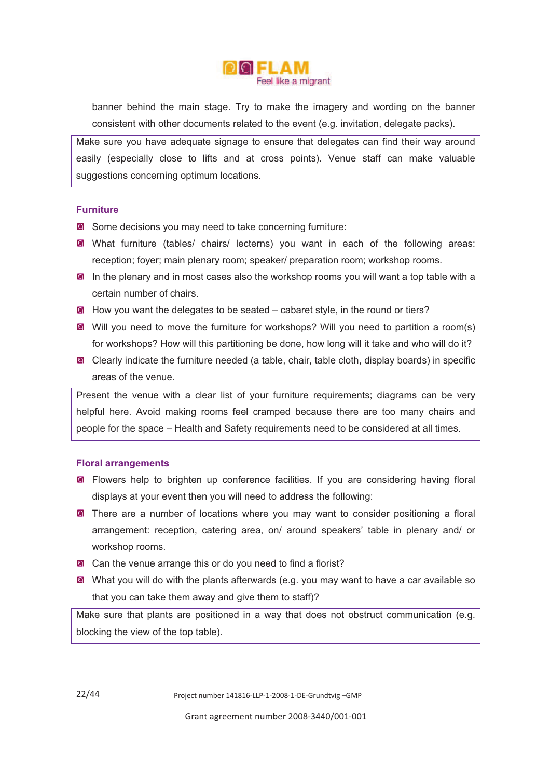

banner behind the main stage. Try to make the imagery and wording on the banner consistent with other documents related to the event (e.g. invitation, delegate packs).

Make sure you have adequate signage to ensure that delegates can find their way around easily (especially close to lifts and at cross points). Venue staff can make valuable suggestions concerning optimum locations.

#### **Furniture**

- **a** Some decisions you may need to take concerning furniture:
- What furniture (tables/ chairs/ lecterns) you want in each of the following areas: reception; foyer; main plenary room; speaker/ preparation room; workshop rooms.
- In the plenary and in most cases also the workshop rooms you will want a top table with a certain number of chairs.
- **I** How you want the delegates to be seated cabaret style, in the round or tiers?
- Will you need to move the furniture for workshops? Will you need to partition a room(s) for workshops? How will this partitioning be done, how long will it take and who will do it?
- Clearly indicate the furniture needed (a table, chair, table cloth, display boards) in specific areas of the venue.

Present the venue with a clear list of your furniture requirements; diagrams can be very helpful here. Avoid making rooms feel cramped because there are too many chairs and people for the space – Health and Safety requirements need to be considered at all times.

#### **Floral arrangements**

- **O** Flowers help to brighten up conference facilities. If you are considering having floral displays at your event then you will need to address the following:
- **If** There are a number of locations where you may want to consider positioning a floral arrangement: reception, catering area, on/ around speakers' table in plenary and/ or workshop rooms.
- **Q** Can the venue arrange this or do you need to find a florist?
- What you will do with the plants afterwards (e.g. you may want to have a car available so that you can take them away and give them to staff)?

Make sure that plants are positioned in a way that does not obstruct communication (e.g. blocking the view of the top table).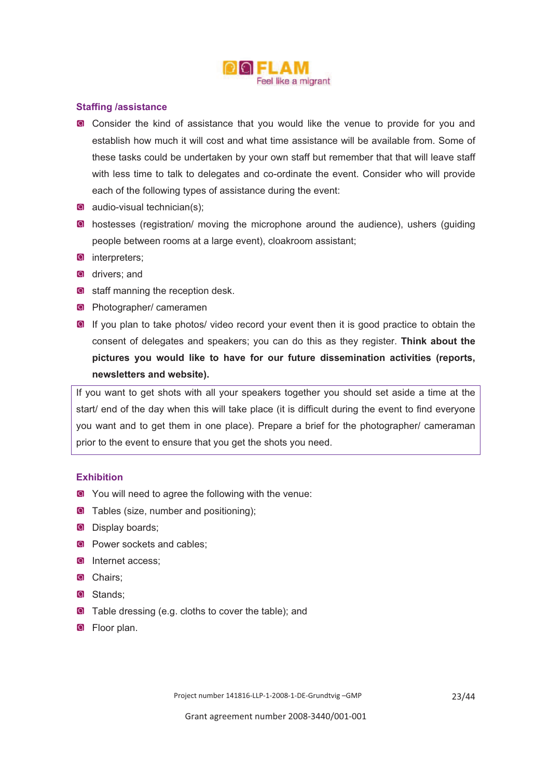

#### **Staffing /assistance**

- **Q** Consider the kind of assistance that you would like the venue to provide for you and establish how much it will cost and what time assistance will be available from. Some of these tasks could be undertaken by your own staff but remember that that will leave staff with less time to talk to delegates and co-ordinate the event. Consider who will provide each of the following types of assistance during the event:
- audio-visual technician(s);
- **a** hostesses (registration/ moving the microphone around the audience), ushers (guiding people between rooms at a large event), cloakroom assistant;
- **a** interpreters;
- **a** drivers; and
- **a** staff manning the reception desk.
- **Photographer/ cameramen**
- If you plan to take photos/ video record your event then it is good practice to obtain the consent of delegates and speakers; you can do this as they register. **Think about the pictures you would like to have for our future dissemination activities (reports, newsletters and website).**

If you want to get shots with all your speakers together you should set aside a time at the start/ end of the day when this will take place (it is difficult during the event to find everyone you want and to get them in one place). Prepare a brief for the photographer/ cameraman prior to the event to ensure that you get the shots you need.

#### **Exhibition**

- **a** You will need to agree the following with the venue:
- **a** Tables (size, number and positioning);
- **Q** Display boards:
- **Power sockets and cables;**
- **Q** Internet access:
- **Q** Chairs;
- **Q** Stands:
- **Q** Table dressing (e.g. cloths to cover the table); and
- **Q** Floor plan.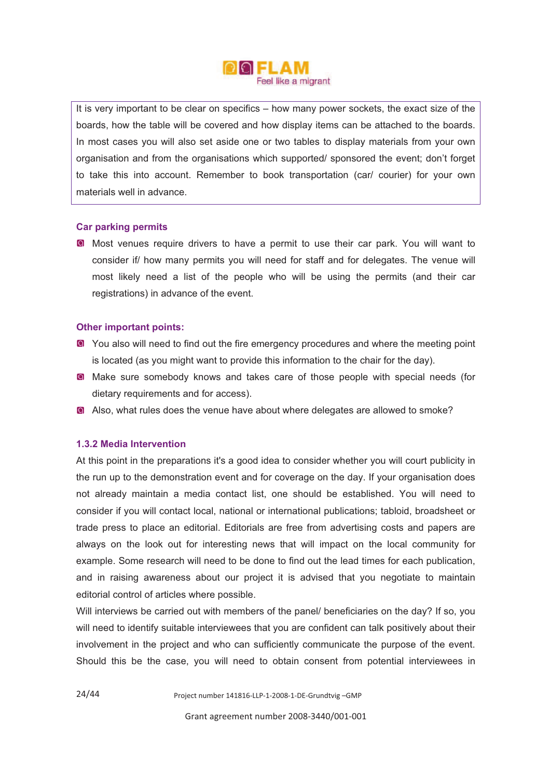

It is very important to be clear on specifics – how many power sockets, the exact size of the boards, how the table will be covered and how display items can be attached to the boards. In most cases you will also set aside one or two tables to display materials from your own organisation and from the organisations which supported/ sponsored the event; don't forget to take this into account. Remember to book transportation (car/ courier) for your own materials well in advance.

#### **Car parking permits**

**a** Most venues require drivers to have a permit to use their car park. You will want to consider if/ how many permits you will need for staff and for delegates. The venue will most likely need a list of the people who will be using the permits (and their car registrations) in advance of the event.

#### **Other important points:**

- **E** You also will need to find out the fire emergency procedures and where the meeting point is located (as you might want to provide this information to the chair for the day).
- **Make sure somebody knows and takes care of those people with special needs (for** dietary requirements and for access).
- Also, what rules does the venue have about where delegates are allowed to smoke?

#### **1.3.2 Media Intervention**

At this point in the preparations it's a good idea to consider whether you will court publicity in the run up to the demonstration event and for coverage on the day. If your organisation does not already maintain a media contact list, one should be established. You will need to consider if you will contact local, national or international publications; tabloid, broadsheet or trade press to place an editorial. Editorials are free from advertising costs and papers are always on the look out for interesting news that will impact on the local community for example. Some research will need to be done to find out the lead times for each publication, and in raising awareness about our project it is advised that you negotiate to maintain editorial control of articles where possible.

Will interviews be carried out with members of the panel/ beneficiaries on the day? If so, you will need to identify suitable interviewees that you are confident can talk positively about their involvement in the project and who can sufficiently communicate the purpose of the event. Should this be the case, you will need to obtain consent from potential interviewees in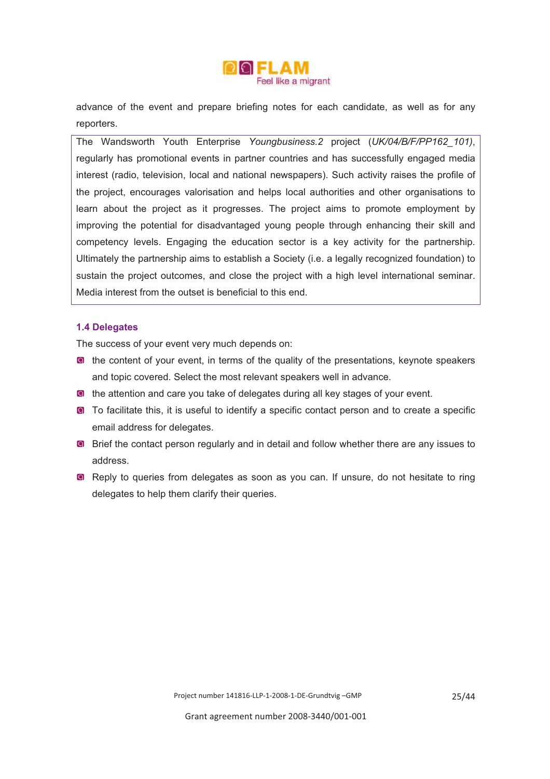

advance of the event and prepare briefing notes for each candidate, as well as for any reporters.

The Wandsworth Youth Enterprise *Youngbusiness.2* project (*UK/04/B/F/PP162\_101)*, regularly has promotional events in partner countries and has successfully engaged media interest (radio, television, local and national newspapers). Such activity raises the profile of the project, encourages valorisation and helps local authorities and other organisations to learn about the project as it progresses. The project aims to promote employment by improving the potential for disadvantaged young people through enhancing their skill and competency levels. Engaging the education sector is a key activity for the partnership. Ultimately the partnership aims to establish a Society (i.e. a legally recognized foundation) to sustain the project outcomes, and close the project with a high level international seminar. Media interest from the outset is beneficial to this end.

#### **1.4 Delegates**

The success of your event very much depends on:

- **If** the content of your event, in terms of the quality of the presentations, keynote speakers and topic covered. Select the most relevant speakers well in advance.
- **If** the attention and care you take of delegates during all key stages of your event.
- **I** To facilitate this, it is useful to identify a specific contact person and to create a specific email address for delegates.
- **B** Brief the contact person regularly and in detail and follow whether there are any issues to address.
- **Reply to queries from delegates as soon as you can. If unsure, do not hesitate to ring** delegates to help them clarify their queries.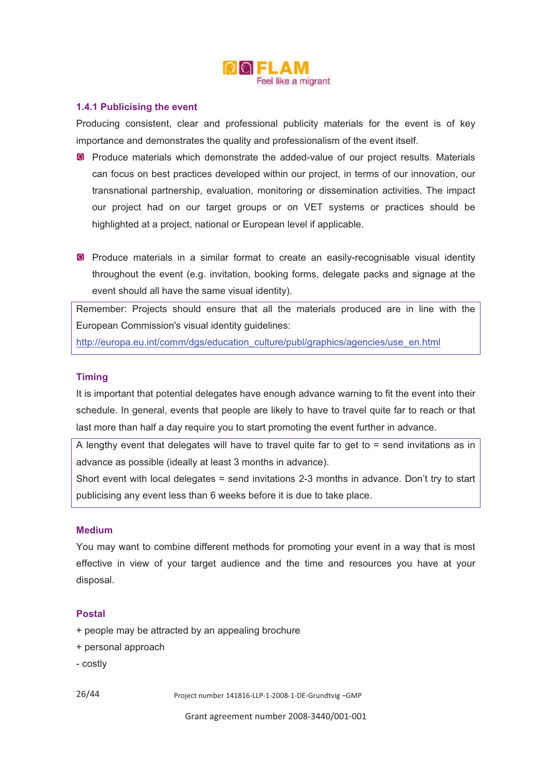

# **1.4.1 Publicising the event**

Producing consistent, clear and professional publicity materials for the event is of key importance and demonstrates the quality and professionalism of the event itself.

- **I** Produce materials which demonstrate the added-value of our project results. Materials can focus on best practices developed within our project, in terms of our innovation, our transnational partnership, evaluation, monitoring or dissemination activities. The impact our project had on our target groups or on VET systems or practices should be highlighted at a project, national or European level if applicable.
- **P** Produce materials in a similar format to create an easily-recognisable visual identity throughout the event (e.g. invitation, booking forms, delegate packs and signage at the event should all have the same visual identity).

Remember: Projects should ensure that all the materials produced are in line with the European Commission's visual identity guidelines:

http://europa.eu.int/comm/dgs/education\_culture/publ/graphics/agencies/use\_en.html

#### **Timing**

It is important that potential delegates have enough advance warning to fit the event into their schedule. In general, events that people are likely to have to travel quite far to reach or that last more than half a day require you to start promoting the event further in advance.

A lengthy event that delegates will have to travel quite far to get to = send invitations as in advance as possible (ideally at least 3 months in advance).

Short event with local delegates = send invitations 2-3 months in advance. Don't try to start publicising any event less than 6 weeks before it is due to take place.

#### **Medium**

You may want to combine different methods for promoting your event in a way that is most effective in view of your target audience and the time and resources you have at your disposal.

# **Postal**

- + people may be attracted by an appealing brochure
- + personal approach
- costly
- 26/44

Project number 141816-LLP-1-2008-1-DE-Grundtvig -GMP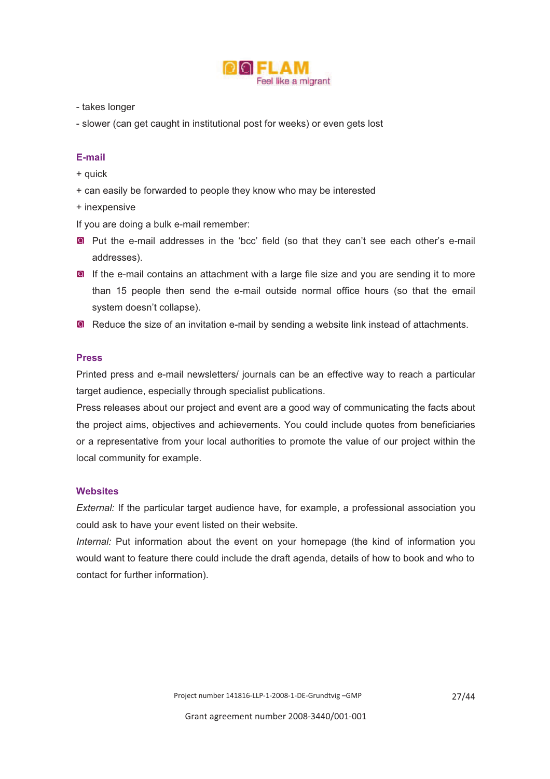

- takes longer

- slower (can get caught in institutional post for weeks) or even gets lost

# **E-mail**

- + quick
- + can easily be forwarded to people they know who may be interested
- + inexpensive
- If you are doing a bulk e-mail remember:
- Put the e-mail addresses in the 'bcc' field (so that they can't see each other's e-mail addresses).
- If the e-mail contains an attachment with a large file size and you are sending it to more than 15 people then send the e-mail outside normal office hours (so that the email system doesn't collapse).
- **Reduce the size of an invitation e-mail by sending a website link instead of attachments.**

# **Press**

Printed press and e-mail newsletters/ journals can be an effective way to reach a particular target audience, especially through specialist publications.

Press releases about our project and event are a good way of communicating the facts about the project aims, objectives and achievements. You could include quotes from beneficiaries or a representative from your local authorities to promote the value of our project within the local community for example.

# **Websites**

*External:* If the particular target audience have, for example, a professional association you could ask to have your event listed on their website.

*Internal:* Put information about the event on your homepage (the kind of information you would want to feature there could include the draft agenda, details of how to book and who to contact for further information).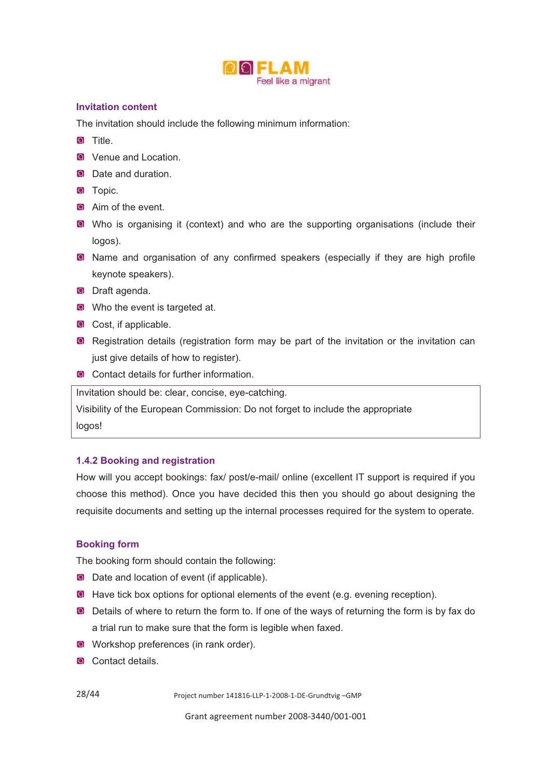

# **Invitation content**

The invitation should include the following minimum information:

- **Q** Title
- **Q** Venue and Location.
- **Q** Date and duration.
- **Q** Topic.
- **Aim of the event.**
- **a** Who is organising it (context) and who are the supporting organisations (include their logos).
- **a** Name and organisation of any confirmed speakers (especially if they are high profile keynote speakers).
- **Q** Draft agenda.
- **a** Who the event is targeted at.
- **Q** Cost, if applicable.
- **a** Registration details (registration form may be part of the invitation or the invitation can just give details of how to register).
- **Q** Contact details for further information.

Invitation should be: clear, concise, eye-catching.

Visibility of the European Commission: Do not forget to include the appropriate

logos!

# **1.4.2 Booking and registration**

How will you accept bookings: fax/ post/e-mail/ online (excellent IT support is required if you choose this method). Once you have decided this then you should go about designing the requisite documents and setting up the internal processes required for the system to operate.

# **Booking form**

The booking form should contain the following:

- **a** Date and location of event (if applicable).
- **E** Have tick box options for optional elements of the event (e.g. evening reception).
- **Details of where to return the form to. If one of the ways of returning the form is by fax do** a trial run to make sure that the form is legible when faxed.
- **O** Workshop preferences (in rank order).
- **Q** Contact details

28/44

Project number 141816-LLP-1-2008-1-DE-Grundtvig -GMP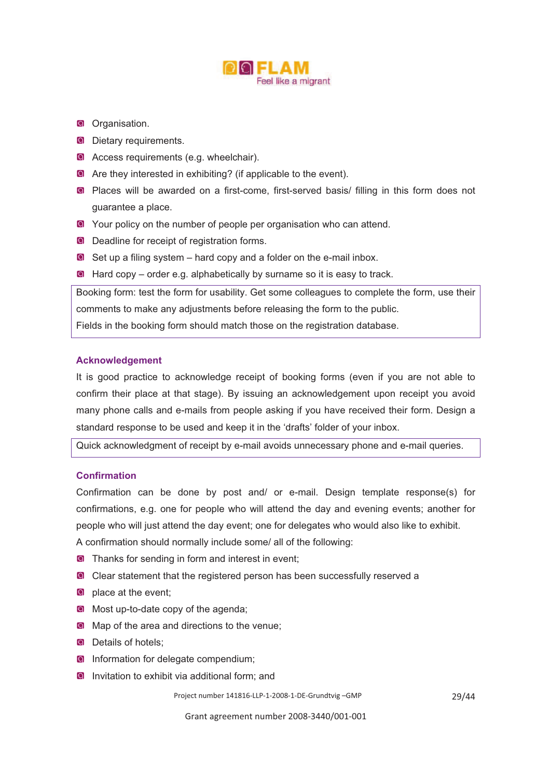

- **O** Organisation.
- **Q** Dietary requirements.
- **Access requirements (e.g. wheelchair).**
- **Are they interested in exhibiting?** (if applicable to the event).
- **Q** Places will be awarded on a first-come, first-served basis/ filling in this form does not guarantee a place.
- **E** Your policy on the number of people per organisation who can attend.
- **Deadline for receipt of registration forms.**
- $\blacksquare$  Set up a filing system hard copy and a folder on the e-mail inbox.
- **A** Hard copy order e.g. alphabetically by surname so it is easy to track.

Booking form: test the form for usability. Get some colleagues to complete the form, use their comments to make any adjustments before releasing the form to the public. Fields in the booking form should match those on the registration database.

# **Acknowledgement**

It is good practice to acknowledge receipt of booking forms (even if you are not able to confirm their place at that stage). By issuing an acknowledgement upon receipt you avoid many phone calls and e-mails from people asking if you have received their form. Design a standard response to be used and keep it in the 'drafts' folder of your inbox.

Quick acknowledgment of receipt by e-mail avoids unnecessary phone and e-mail queries.

# **Confirmation**

Confirmation can be done by post and/ or e-mail. Design template response(s) for confirmations, e.g. one for people who will attend the day and evening events; another for people who will just attend the day event; one for delegates who would also like to exhibit. A confirmation should normally include some/ all of the following:

- **O** Thanks for sending in form and interest in event;
- **Q** Clear statement that the registered person has been successfully reserved a
- **Q** place at the event;
- **Most up-to-date copy of the agenda;**
- **Map of the area and directions to the venue;**
- **Q** Details of hotels:
- **Information for delegate compendium;**
- **Invitation to exhibit via additional form; and**

Project number 141816-LLP-1-2008-1-DE-Grundtvig -GMP

29/44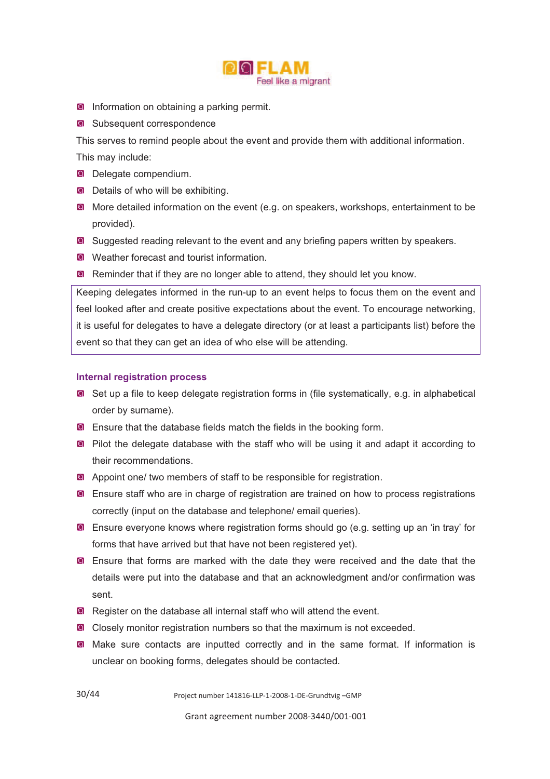

- **Information on obtaining a parking permit.**
- **a** Subsequent correspondence

This serves to remind people about the event and provide them with additional information.

This may include:

- **Delegate compendium.**
- **Details of who will be exhibiting.**
- **More detailed information on the event (e.g. on speakers, workshops, entertainment to be** provided).
- **I** Suggested reading relevant to the event and any briefing papers written by speakers.
- **a** Weather forecast and tourist information.
- **Reminder that if they are no longer able to attend, they should let you know.**

Keeping delegates informed in the run-up to an event helps to focus them on the event and feel looked after and create positive expectations about the event. To encourage networking, it is useful for delegates to have a delegate directory (or at least a participants list) before the event so that they can get an idea of who else will be attending.

# **Internal registration process**

30/44

- Set up a file to keep delegate registration forms in (file systematically, e.g. in alphabetical order by surname).
- **Ensure that the database fields match the fields in the booking form.**
- **E** Pilot the delegate database with the staff who will be using it and adapt it according to their recommendations.
- **Appoint one/ two members of staff to be responsible for registration.**
- **a** Ensure staff who are in charge of registration are trained on how to process registrations correctly (input on the database and telephone/ email queries).
- **Ensure everyone knows where registration forms should go (e.g. setting up an 'in tray' for** forms that have arrived but that have not been registered yet).
- **E** Ensure that forms are marked with the date they were received and the date that the details were put into the database and that an acknowledgment and/or confirmation was sent.
- **Reqister on the database all internal staff who will attend the event.**
- Closely monitor registration numbers so that the maximum is not exceeded.
- **I** Make sure contacts are inputted correctly and in the same format. If information is unclear on booking forms, delegates should be contacted.

Project number 141816-LLP-1-2008-1-DE-Grundtvig -GMP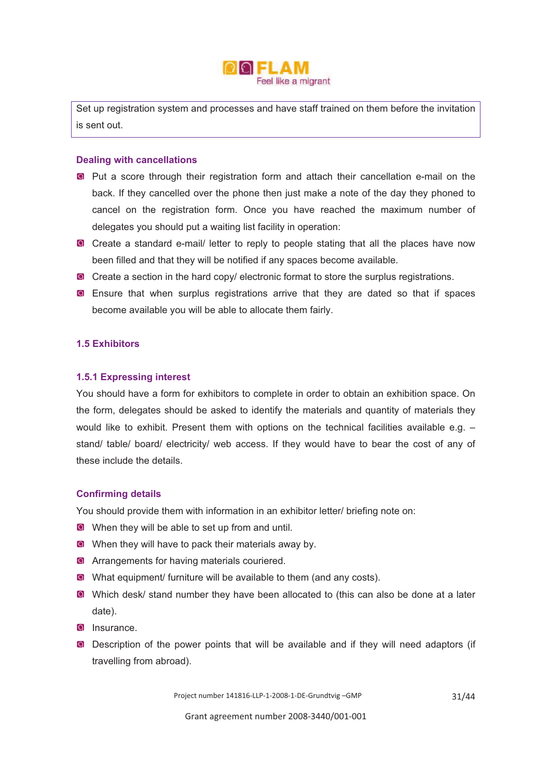

Set up registration system and processes and have staff trained on them before the invitation is sent out.

# **Dealing with cancellations**

- **Put a score through their registration form and attach their cancellation e-mail on the** back. If they cancelled over the phone then just make a note of the day they phoned to cancel on the registration form. Once you have reached the maximum number of delegates you should put a waiting list facility in operation:
- **a** Create a standard e-mail/ letter to reply to people stating that all the places have now been filled and that they will be notified if any spaces become available.
- **Create a section in the hard copy/ electronic format to store the surplus registrations.**
- **E** Ensure that when surplus registrations arrive that they are dated so that if spaces become available you will be able to allocate them fairly.

#### **1.5 Exhibitors**

#### **1.5.1 Expressing interest**

You should have a form for exhibitors to complete in order to obtain an exhibition space. On the form, delegates should be asked to identify the materials and quantity of materials they would like to exhibit. Present them with options on the technical facilities available e.g. – stand/ table/ board/ electricity/ web access. If they would have to bear the cost of any of these include the details.

#### **Confirming details**

You should provide them with information in an exhibitor letter/ briefing note on:

- **a** When they will be able to set up from and until.
- **a** When they will have to pack their materials away by.
- **Arrangements for having materials couriered.**
- **a** What equipment/ furniture will be available to them (and any costs).
- **a** Which desk/ stand number they have been allocated to (this can also be done at a later date).
- **Q** Insurance.
- **Description of the power points that will be available and if they will need adaptors (if** travelling from abroad).

Project number 141816-LLP-1-2008-1-DE-Grundtvig -GMP

31/44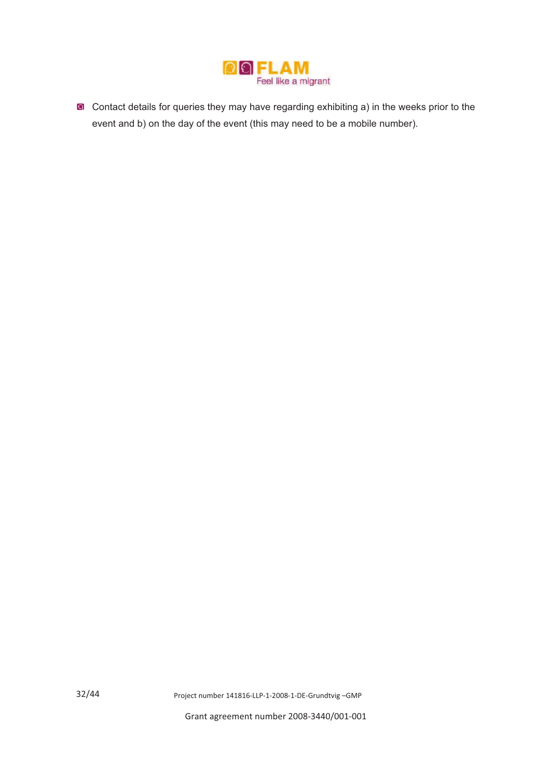

**a** Contact details for queries they may have regarding exhibiting a) in the weeks prior to the event and b) on the day of the event (this may need to be a mobile number).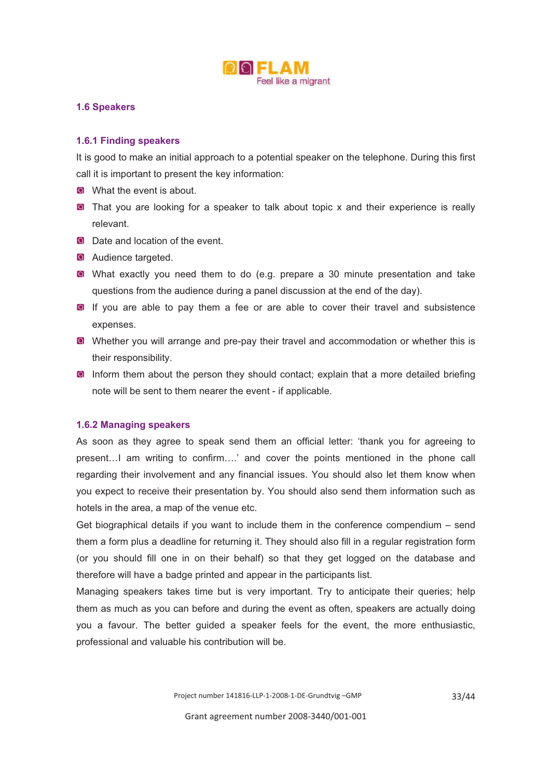

# **1.6 Speakers**

#### **1.6.1 Finding speakers**

It is good to make an initial approach to a potential speaker on the telephone. During this first call it is important to present the key information:

- **Q** What the event is about.
- **If** That you are looking for a speaker to talk about topic x and their experience is really relevant.
- **Q** Date and location of the event.
- **Audience targeted.**
- What exactly you need them to do (e.g. prepare a 30 minute presentation and take questions from the audience during a panel discussion at the end of the day).
- If you are able to pay them a fee or are able to cover their travel and subsistence expenses.
- **E** Whether you will arrange and pre-pay their travel and accommodation or whether this is their responsibility.
- **Inform them about the person they should contact; explain that a more detailed briefing** note will be sent to them nearer the event - if applicable.

#### **1.6.2 Managing speakers**

As soon as they agree to speak send them an official letter: 'thank you for agreeing to present…I am writing to confirm….' and cover the points mentioned in the phone call regarding their involvement and any financial issues. You should also let them know when you expect to receive their presentation by. You should also send them information such as hotels in the area, a map of the venue etc.

Get biographical details if you want to include them in the conference compendium – send them a form plus a deadline for returning it. They should also fill in a regular registration form (or you should fill one in on their behalf) so that they get logged on the database and therefore will have a badge printed and appear in the participants list.

Managing speakers takes time but is very important. Try to anticipate their queries; help them as much as you can before and during the event as often, speakers are actually doing you a favour. The better guided a speaker feels for the event, the more enthusiastic, professional and valuable his contribution will be.

Project number 141816-LLP-1-2008-1-DE-Grundtvig -GMP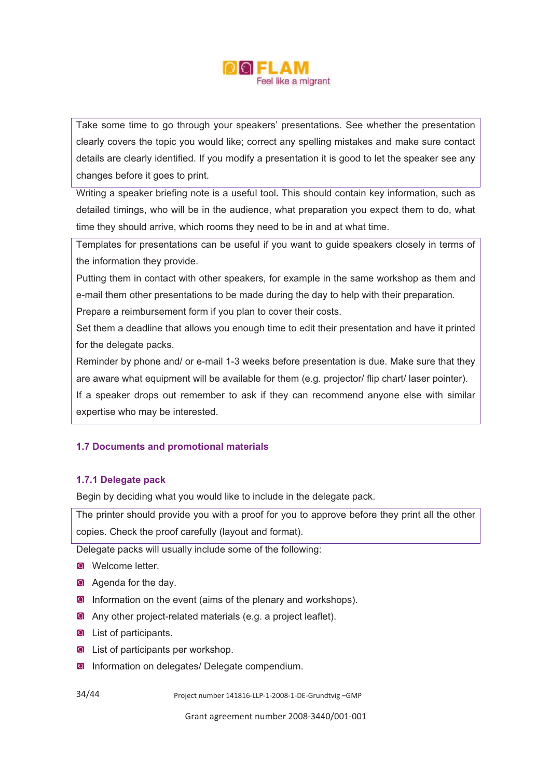

Take some time to go through your speakers' presentations. See whether the presentation clearly covers the topic you would like; correct any spelling mistakes and make sure contact details are clearly identified. If you modify a presentation it is good to let the speaker see any changes before it goes to print.

Writing a speaker briefing note is a useful tool**.** This should contain key information, such as detailed timings, who will be in the audience, what preparation you expect them to do, what time they should arrive, which rooms they need to be in and at what time.

Templates for presentations can be useful if you want to guide speakers closely in terms of the information they provide.

Putting them in contact with other speakers, for example in the same workshop as them and e-mail them other presentations to be made during the day to help with their preparation. Prepare a reimbursement form if you plan to cover their costs.

Set them a deadline that allows you enough time to edit their presentation and have it printed for the delegate packs.

Reminder by phone and/ or e-mail 1-3 weeks before presentation is due. Make sure that they are aware what equipment will be available for them (e.g. projector/ flip chart/ laser pointer). If a speaker drops out remember to ask if they can recommend anyone else with similar expertise who may be interested.

# **1.7 Documents and promotional materials**

# **1.7.1 Delegate pack**

Begin by deciding what you would like to include in the delegate pack.

The printer should provide you with a proof for you to approve before they print all the other copies. Check the proof carefully (layout and format).

Delegate packs will usually include some of the following:

- **Q** Welcome letter.
- **A** Agenda for the day.
- **Information on the event (aims of the plenary and workshops).**
- **Any other project-related materials (e.g. a project leaflet).**
- **Q** List of participants.
- **Q** List of participants per workshop.
- **Information on delegates/ Delegate compendium.**

34/44

Project number 141816-LLP-1-2008-1-DE-Grundtvig -GMP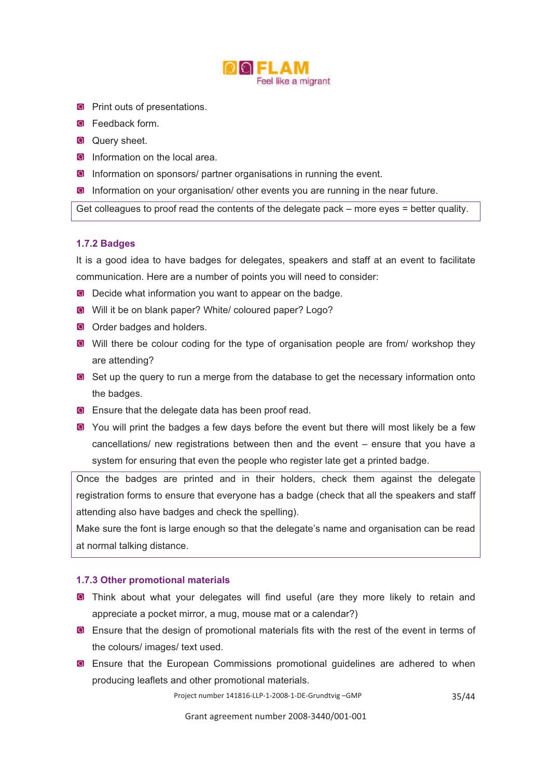

- **Print outs of presentations.**
- **Q** Feedback form.
- **Q** Query sheet.
- **Information on the local area.**
- **Information on sponsors/ partner organisations in running the event.**
- **Information on your organisation/ other events you are running in the near future.**

Get colleagues to proof read the contents of the delegate pack – more eyes = better quality.

# **1.7.2 Badges**

It is a good idea to have badges for delegates, speakers and staff at an event to facilitate communication. Here are a number of points you will need to consider:

- **Decide what information you want to appear on the badge.**
- Will it be on blank paper? White/ coloured paper? Logo?
- **O** Order badges and holders.
- **I** Will there be colour coding for the type of organisation people are from/ workshop they are attending?
- **I** Set up the query to run a merge from the database to get the necessary information onto the badges.
- **Ensure that the delegate data has been proof read.**
- **a** You will print the badges a few days before the event but there will most likely be a few cancellations/ new registrations between then and the event – ensure that you have a system for ensuring that even the people who register late get a printed badge.

Once the badges are printed and in their holders, check them against the delegate registration forms to ensure that everyone has a badge (check that all the speakers and staff attending also have badges and check the spelling).

Make sure the font is large enough so that the delegate's name and organisation can be read at normal talking distance.

# **1.7.3 Other promotional materials**

- **a** Think about what your delegates will find useful (are they more likely to retain and appreciate a pocket mirror, a mug, mouse mat or a calendar?)
- **E** Ensure that the design of promotional materials fits with the rest of the event in terms of the colours/ images/ text used.
- Ensure that the European Commissions promotional guidelines are adhered to when producing leaflets and other promotional materials.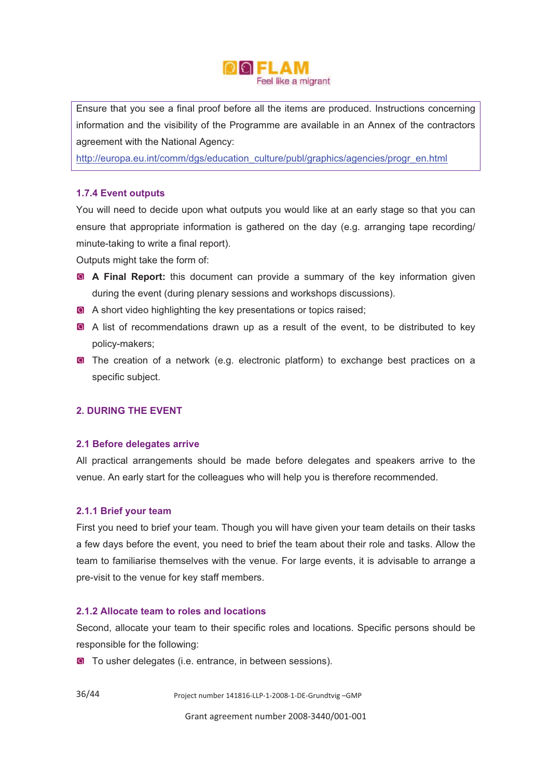

Ensure that you see a final proof before all the items are produced. Instructions concerning information and the visibility of the Programme are available in an Annex of the contractors agreement with the National Agency:

http://europa.eu.int/comm/dgs/education\_culture/publ/graphics/agencies/progr\_en.html

# **1.7.4 Event outputs**

You will need to decide upon what outputs you would like at an early stage so that you can ensure that appropriate information is gathered on the day (e.g. arranging tape recording/ minute-taking to write a final report).

Outputs might take the form of:

- **A Final Report:** this document can provide a summary of the key information given during the event (during plenary sessions and workshops discussions).
- **A** short video highlighting the key presentations or topics raised;
- A list of recommendations drawn up as a result of the event, to be distributed to key policy-makers;
- **I** The creation of a network (e.g. electronic platform) to exchange best practices on a specific subject.

# **2. DURING THE EVENT**

# **2.1 Before delegates arrive**

All practical arrangements should be made before delegates and speakers arrive to the venue. An early start for the colleagues who will help you is therefore recommended.

# **2.1.1 Brief your team**

First you need to brief your team. Though you will have given your team details on their tasks a few days before the event, you need to brief the team about their role and tasks. Allow the team to familiarise themselves with the venue. For large events, it is advisable to arrange a pre-visit to the venue for key staff members.

# **2.1.2 Allocate team to roles and locations**

Second, allocate your team to their specific roles and locations. Specific persons should be responsible for the following:

**O** To usher delegates (i.e. entrance, in between sessions).

Project number 141816-LLP-1-2008-1-DE-Grundtvig -GMP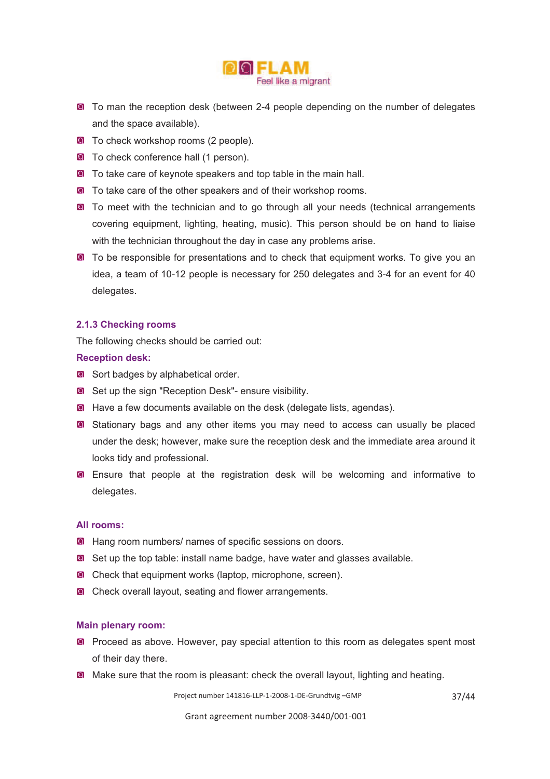

- To man the reception desk (between 2-4 people depending on the number of delegates and the space available).
- **O** To check workshop rooms (2 people).
- **O** To check conference hall (1 person).
- **To take care of keynote speakers and top table in the main hall.**
- **O** To take care of the other speakers and of their workshop rooms.
- **To meet with the technician and to go through all your needs (technical arrangements** covering equipment, lighting, heating, music). This person should be on hand to liaise with the technician throughout the day in case any problems arise.
- **O** To be responsible for presentations and to check that equipment works. To give you an idea, a team of 10-12 people is necessary for 250 delegates and 3-4 for an event for 40 delegates.

# **2.1.3 Checking rooms**

The following checks should be carried out:

#### **Reception desk:**

- **a** Sort badges by alphabetical order.
- **a** Set up the sign "Reception Desk"- ensure visibility.
- **A** Have a few documents available on the desk (delegate lists, agendas).
- **Co** Stationary bags and any other items you may need to access can usually be placed under the desk; however, make sure the reception desk and the immediate area around it looks tidy and professional.
- Ensure that people at the registration desk will be welcoming and informative to delegates.

#### **All rooms:**

- **A** Hang room numbers/ names of specific sessions on doors.
- **a** Set up the top table: install name badge, have water and glasses available.
- **Check that equipment works (laptop, microphone, screen).**
- **Check overall layout, seating and flower arrangements.**

#### **Main plenary room:**

- **Proceed as above. However, pay special attention to this room as delegates spent most** of their day there.
- Make sure that the room is pleasant: check the overall layout, lighting and heating.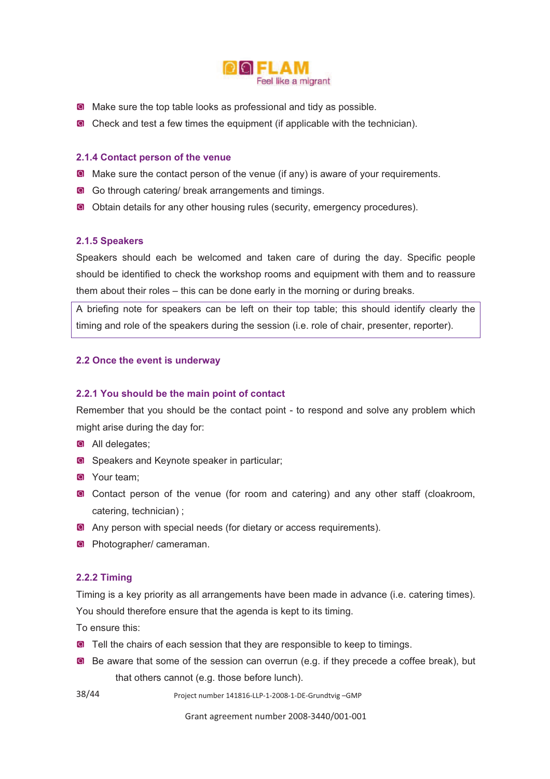

- **Make sure the top table looks as professional and tidy as possible.**
- Check and test a few times the equipment (if applicable with the technician).

# **2.1.4 Contact person of the venue**

- **a** Make sure the contact person of the venue (if any) is aware of your requirements.
- **G** Go through catering/ break arrangements and timings.
- Obtain details for any other housing rules (security, emergency procedures).

# **2.1.5 Speakers**

Speakers should each be welcomed and taken care of during the day. Specific people should be identified to check the workshop rooms and equipment with them and to reassure them about their roles – this can be done early in the morning or during breaks.

A briefing note for speakers can be left on their top table; this should identify clearly the timing and role of the speakers during the session (i.e. role of chair, presenter, reporter).

# **2.2 Once the event is underway**

# **2.2.1 You should be the main point of contact**

Remember that you should be the contact point - to respond and solve any problem which might arise during the day for:

- All delegates;
- **Speakers and Keynote speaker in particular;**
- Your team;
- **a** Contact person of the venue (for room and catering) and any other staff (cloakroom, catering, technician) ;
- **Any person with special needs (for dietary or access requirements).**
- **Photographer/ cameraman.**

# **2.2.2 Timing**

Timing is a key priority as all arrangements have been made in advance (i.e. catering times). You should therefore ensure that the agenda is kept to its timing.

To ensure this:

- **O** Tell the chairs of each session that they are responsible to keep to timings.
- **B** Be aware that some of the session can overrun (e.g. if they precede a coffee break), but that others cannot (e.g. those before lunch).

38/44

Project number 141816-LLP-1-2008-1-DE-Grundtvig -GMP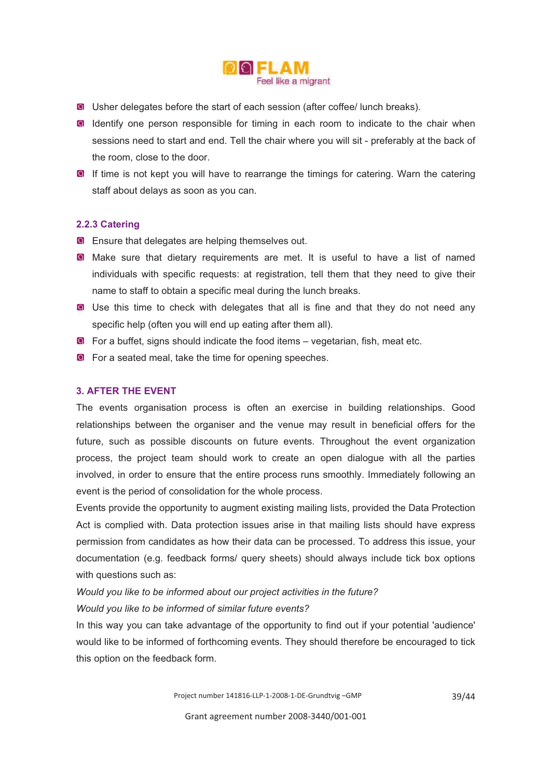

- **O** Usher delegates before the start of each session (after coffee/ lunch breaks).
- **ID** Identify one person responsible for timing in each room to indicate to the chair when sessions need to start and end. Tell the chair where you will sit - preferably at the back of the room, close to the door.
- **If time is not kept you will have to rearrange the timings for catering. Warn the catering** staff about delays as soon as you can.

# **2.2.3 Catering**

- **E** Ensure that delegates are helping themselves out.
- **a** Make sure that dietary requirements are met. It is useful to have a list of named individuals with specific requests: at registration, tell them that they need to give their name to staff to obtain a specific meal during the lunch breaks.
- **If** Use this time to check with delegates that all is fine and that they do not need any specific help (often you will end up eating after them all).
- **O** For a buffet, signs should indicate the food items vegetarian, fish, meat etc.
- **O** For a seated meal, take the time for opening speeches.

# **3. AFTER THE EVENT**

The events organisation process is often an exercise in building relationships. Good relationships between the organiser and the venue may result in beneficial offers for the future, such as possible discounts on future events. Throughout the event organization process, the project team should work to create an open dialogue with all the parties involved, in order to ensure that the entire process runs smoothly. Immediately following an event is the period of consolidation for the whole process.

Events provide the opportunity to augment existing mailing lists, provided the Data Protection Act is complied with. Data protection issues arise in that mailing lists should have express permission from candidates as how their data can be processed. To address this issue, your documentation (e.g. feedback forms/ query sheets) should always include tick box options with questions such as:

*Would you like to be informed about our project activities in the future?* 

*Would you like to be informed of similar future events?* 

In this way you can take advantage of the opportunity to find out if your potential 'audience' would like to be informed of forthcoming events. They should therefore be encouraged to tick this option on the feedback form.

Project number 141816-LLP-1-2008-1-DE-Grundtvig -GMP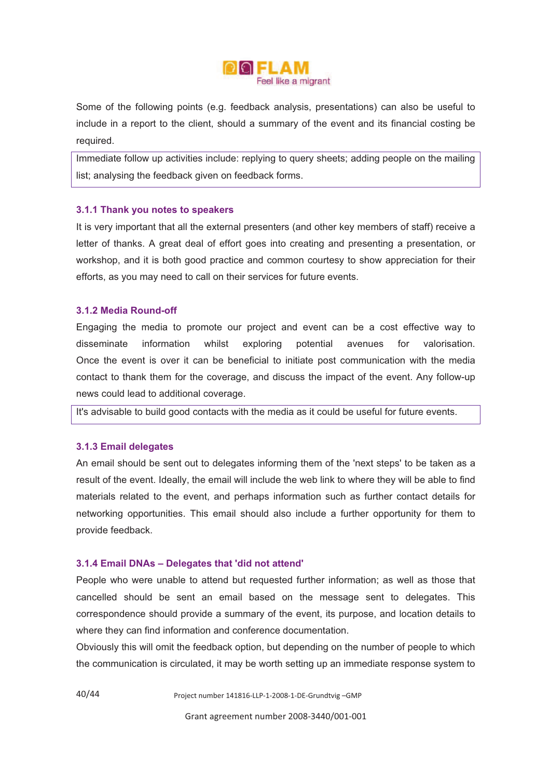

Some of the following points (e.g. feedback analysis, presentations) can also be useful to include in a report to the client, should a summary of the event and its financial costing be required.

Immediate follow up activities include: replying to query sheets; adding people on the mailing list; analysing the feedback given on feedback forms.

#### **3.1.1 Thank you notes to speakers**

It is very important that all the external presenters (and other key members of staff) receive a letter of thanks. A great deal of effort goes into creating and presenting a presentation, or workshop, and it is both good practice and common courtesy to show appreciation for their efforts, as you may need to call on their services for future events.

#### **3.1.2 Media Round-off**

Engaging the media to promote our project and event can be a cost effective way to disseminate information whilst exploring potential avenues for valorisation. Once the event is over it can be beneficial to initiate post communication with the media contact to thank them for the coverage, and discuss the impact of the event. Any follow-up news could lead to additional coverage.

It's advisable to build good contacts with the media as it could be useful for future events.

# **3.1.3 Email delegates**

40/44

An email should be sent out to delegates informing them of the 'next steps' to be taken as a result of the event. Ideally, the email will include the web link to where they will be able to find materials related to the event, and perhaps information such as further contact details for networking opportunities. This email should also include a further opportunity for them to provide feedback.

# **3.1.4 Email DNAs – Delegates that 'did not attend'**

People who were unable to attend but requested further information; as well as those that cancelled should be sent an email based on the message sent to delegates. This correspondence should provide a summary of the event, its purpose, and location details to where they can find information and conference documentation.

Obviously this will omit the feedback option, but depending on the number of people to which the communication is circulated, it may be worth setting up an immediate response system to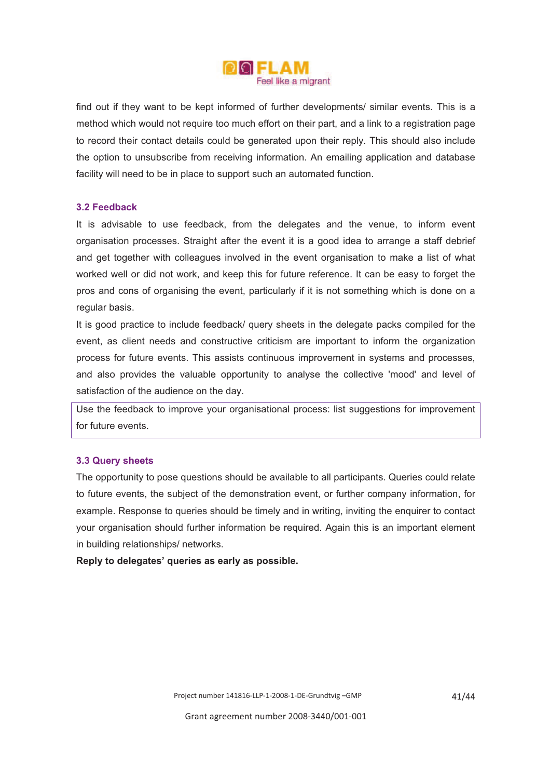

find out if they want to be kept informed of further developments/ similar events. This is a method which would not require too much effort on their part, and a link to a registration page to record their contact details could be generated upon their reply. This should also include the option to unsubscribe from receiving information. An emailing application and database facility will need to be in place to support such an automated function.

#### **3.2 Feedback**

It is advisable to use feedback, from the delegates and the venue, to inform event organisation processes. Straight after the event it is a good idea to arrange a staff debrief and get together with colleagues involved in the event organisation to make a list of what worked well or did not work, and keep this for future reference. It can be easy to forget the pros and cons of organising the event, particularly if it is not something which is done on a regular basis.

It is good practice to include feedback/ query sheets in the delegate packs compiled for the event, as client needs and constructive criticism are important to inform the organization process for future events. This assists continuous improvement in systems and processes, and also provides the valuable opportunity to analyse the collective 'mood' and level of satisfaction of the audience on the day.

Use the feedback to improve your organisational process: list suggestions for improvement for future events.

#### **3.3 Query sheets**

The opportunity to pose questions should be available to all participants. Queries could relate to future events, the subject of the demonstration event, or further company information, for example. Response to queries should be timely and in writing, inviting the enquirer to contact your organisation should further information be required. Again this is an important element in building relationships/ networks.

**Reply to delegates' queries as early as possible.**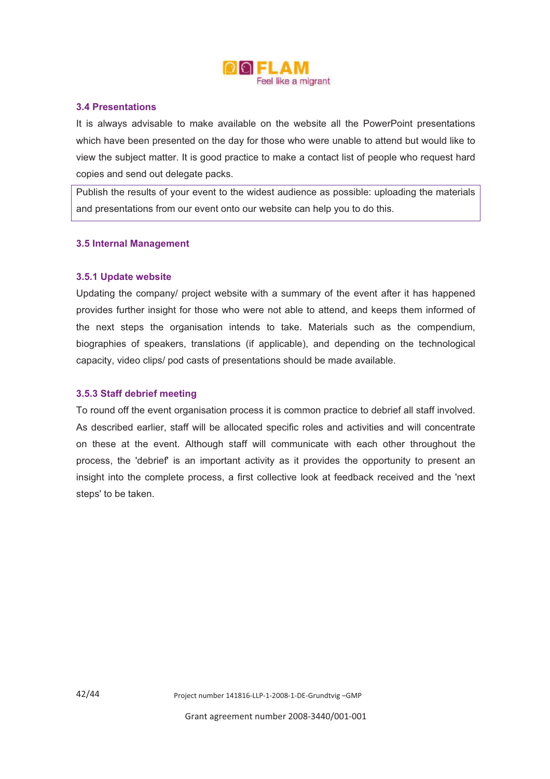

#### **3.4 Presentations**

It is always advisable to make available on the website all the PowerPoint presentations which have been presented on the day for those who were unable to attend but would like to view the subject matter. It is good practice to make a contact list of people who request hard copies and send out delegate packs.

Publish the results of your event to the widest audience as possible: uploading the materials and presentations from our event onto our website can help you to do this.

#### **3.5 Internal Management**

#### **3.5.1 Update website**

Updating the company/ project website with a summary of the event after it has happened provides further insight for those who were not able to attend, and keeps them informed of the next steps the organisation intends to take. Materials such as the compendium, biographies of speakers, translations (if applicable), and depending on the technological capacity, video clips/ pod casts of presentations should be made available.

#### **3.5.3 Staff debrief meeting**

To round off the event organisation process it is common practice to debrief all staff involved. As described earlier, staff will be allocated specific roles and activities and will concentrate on these at the event. Although staff will communicate with each other throughout the process, the 'debrief' is an important activity as it provides the opportunity to present an insight into the complete process, a first collective look at feedback received and the 'next steps' to be taken.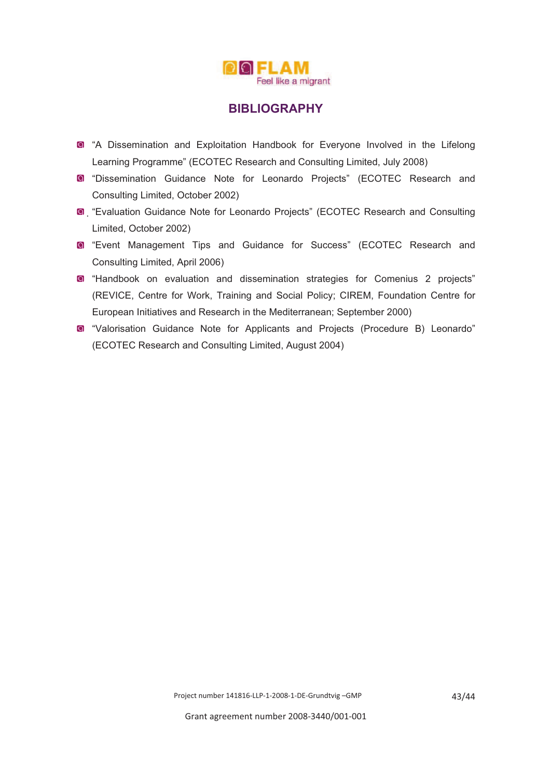

# **BIBLIOGRAPHY**

- **a** "A Dissemination and Exploitation Handbook for Everyone Involved in the Lifelong Learning Programme" (ECOTEC Research and Consulting Limited, July 2008)
- **a** "Dissemination Guidance Note for Leonardo Projects" (ECOTEC Research and Consulting Limited, October 2002)
- !"Evaluation Guidance Note for Leonardo Projects" (ECOTEC Research and Consulting Limited, October 2002)
- **a** "Event Management Tips and Guidance for Success" (ECOTEC Research and Consulting Limited, April 2006)
- "Handbook on evaluation and dissemination strategies for Comenius 2 projects" (REVICE, Centre for Work, Training and Social Policy; CIREM, Foundation Centre for European Initiatives and Research in the Mediterranean; September 2000)
- "Valorisation Guidance Note for Applicants and Projects (Procedure B) Leonardo" (ECOTEC Research and Consulting Limited, August 2004)